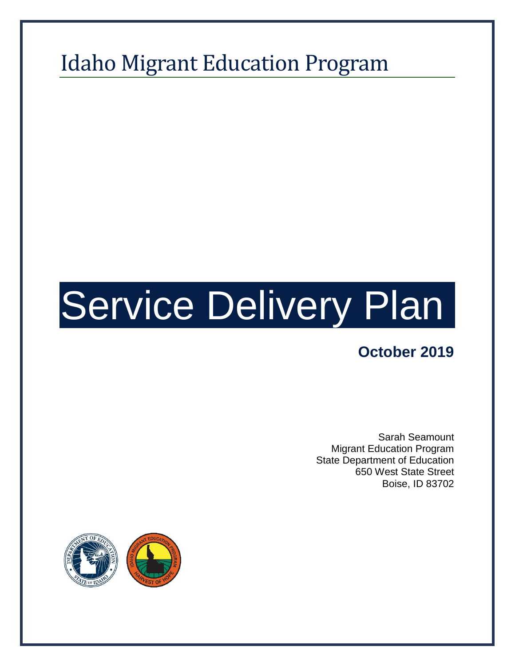# Idaho Migrant Education Program

# Service Delivery Plan

# **October 2019**

Sarah Seamount Migrant Education Program State Department of Education 650 West State Street Boise, ID 83702

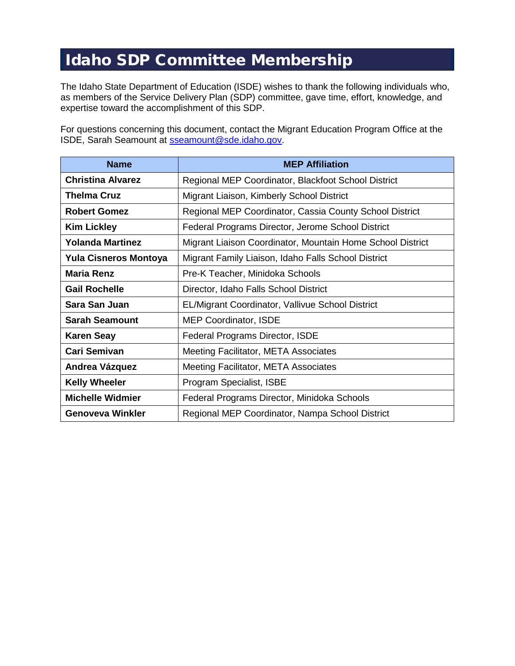# Idaho SDP Committee Membership

The Idaho State Department of Education (ISDE) wishes to thank the following individuals who, as members of the Service Delivery Plan (SDP) committee, gave time, effort, knowledge, and expertise toward the accomplishment of this SDP.

For questions concerning this document, contact the Migrant Education Program Office at the ISDE, Sarah Seamount at [sseamount@sde.idaho.gov.](mailto:sseamount@sde.idaho.gov)

| <b>Name</b>                  | <b>MEP Affiliation</b>                                     |
|------------------------------|------------------------------------------------------------|
| <b>Christina Alvarez</b>     | Regional MEP Coordinator, Blackfoot School District        |
| <b>Thelma Cruz</b>           | Migrant Liaison, Kimberly School District                  |
| <b>Robert Gomez</b>          | Regional MEP Coordinator, Cassia County School District    |
| <b>Kim Lickley</b>           | Federal Programs Director, Jerome School District          |
| <b>Yolanda Martinez</b>      | Migrant Liaison Coordinator, Mountain Home School District |
| <b>Yula Cisneros Montoya</b> | Migrant Family Liaison, Idaho Falls School District        |
| <b>Maria Renz</b>            | Pre-K Teacher, Minidoka Schools                            |
| <b>Gail Rochelle</b>         | Director, Idaho Falls School District                      |
| Sara San Juan                | EL/Migrant Coordinator, Vallivue School District           |
| <b>Sarah Seamount</b>        | <b>MEP Coordinator, ISDE</b>                               |
| <b>Karen Seay</b>            | Federal Programs Director, ISDE                            |
| <b>Cari Semivan</b>          | Meeting Facilitator, META Associates                       |
| Andrea Vázquez               | Meeting Facilitator, META Associates                       |
| <b>Kelly Wheeler</b>         | Program Specialist, ISBE                                   |
| <b>Michelle Widmier</b>      | Federal Programs Director, Minidoka Schools                |
| Genoveva Winkler             | Regional MEP Coordinator, Nampa School District            |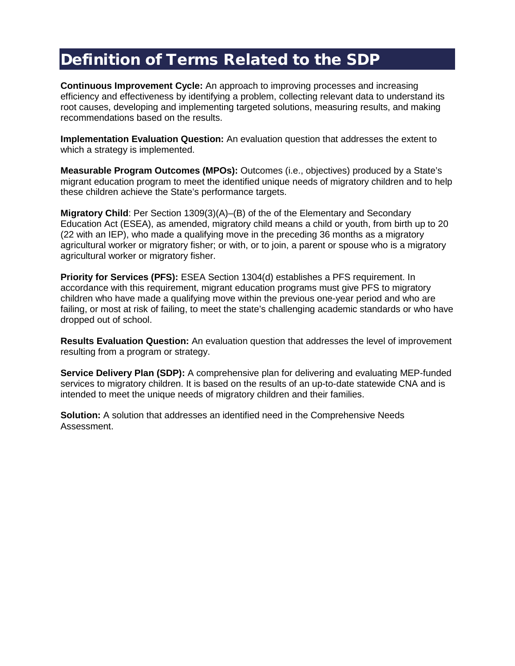# Definition of Terms Related to the SDP

**Continuous Improvement Cycle:** An approach to improving processes and increasing efficiency and effectiveness by identifying a problem, collecting relevant data to understand its root causes, developing and implementing targeted solutions, measuring results, and making recommendations based on the results.

**Implementation Evaluation Question:** An evaluation question that addresses the extent to which a strategy is implemented.

**Measurable Program Outcomes (MPOs):** Outcomes (i.e., objectives) produced by a State's migrant education program to meet the identified unique needs of migratory children and to help these children achieve the State's performance targets.

**Migratory Child:** Per Section 1309(3)(A)–(B) of the of the Elementary and Secondary Education Act (ESEA), as amended, migratory child means a child or youth, from birth up to 20 (22 with an IEP), who made a qualifying move in the preceding 36 months as a migratory agricultural worker or migratory fisher; or with, or to join, a parent or spouse who is a migratory agricultural worker or migratory fisher.

**Priority for Services (PFS):** ESEA Section 1304(d) establishes a PFS requirement. In accordance with this requirement, migrant education programs must give PFS to migratory children who have made a qualifying move within the previous one-year period and who are failing, or most at risk of failing, to meet the state's challenging academic standards or who have dropped out of school.

**Results Evaluation Question:** An evaluation question that addresses the level of improvement resulting from a program or strategy.

**Service Delivery Plan (SDP):** A comprehensive plan for delivering and evaluating MEP-funded services to migratory children. It is based on the results of an up-to-date statewide CNA and is intended to meet the unique needs of migratory children and their families.

**Solution:** A solution that addresses an identified need in the Comprehensive Needs Assessment.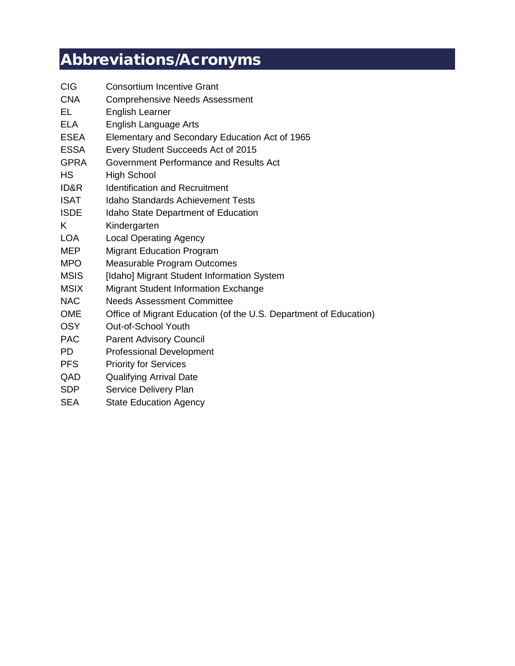# Abbreviations/Acronyms

| <b>CIG</b>  | <b>Consortium Incentive Grant</b>                                 |
|-------------|-------------------------------------------------------------------|
| <b>CNA</b>  | <b>Comprehensive Needs Assessment</b>                             |
| EL          | <b>English Learner</b>                                            |
| <b>ELA</b>  | <b>English Language Arts</b>                                      |
| <b>ESEA</b> | Elementary and Secondary Education Act of 1965                    |
| <b>ESSA</b> | Every Student Succeeds Act of 2015                                |
| <b>GPRA</b> | Government Performance and Results Act                            |
| <b>HS</b>   | <b>High School</b>                                                |
| ID&R        | <b>Identification and Recruitment</b>                             |
| <b>ISAT</b> | Idaho Standards Achievement Tests                                 |
| <b>ISDE</b> | <b>Idaho State Department of Education</b>                        |
| K           | Kindergarten                                                      |
| <b>LOA</b>  | <b>Local Operating Agency</b>                                     |
| <b>MEP</b>  | <b>Migrant Education Program</b>                                  |
| <b>MPO</b>  | <b>Measurable Program Outcomes</b>                                |
| <b>MSIS</b> | [Idaho] Migrant Student Information System                        |
| <b>MSIX</b> | <b>Migrant Student Information Exchange</b>                       |
| <b>NAC</b>  | <b>Needs Assessment Committee</b>                                 |
| <b>OME</b>  | Office of Migrant Education (of the U.S. Department of Education) |
| <b>OSY</b>  | Out-of-School Youth                                               |
| <b>PAC</b>  | <b>Parent Advisory Council</b>                                    |
| PD.         | <b>Professional Development</b>                                   |
| <b>PFS</b>  | <b>Priority for Services</b>                                      |
| QAD         | <b>Qualifying Arrival Date</b>                                    |
| <b>SDP</b>  | Service Delivery Plan                                             |
| <b>SEA</b>  | <b>State Education Agency</b>                                     |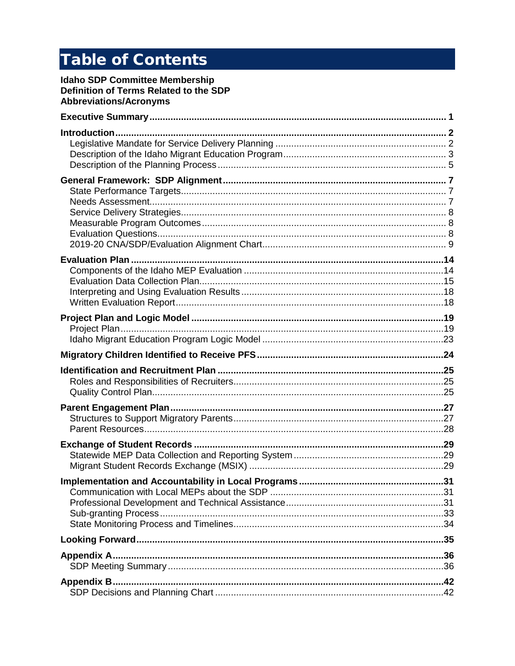# **Table of Contents**

**Idaho SDP Committee Membership** Definition of Terms Related to the SDP **Abbreviations/Acronyms**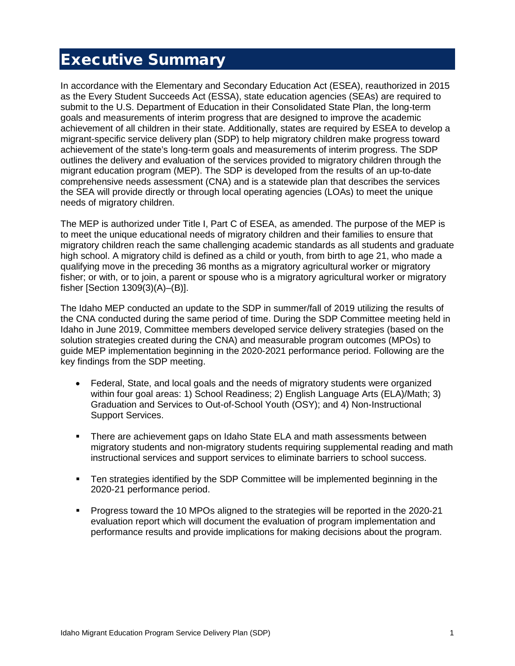# <span id="page-5-0"></span>Executive Summary

In accordance with the Elementary and Secondary Education Act (ESEA), reauthorized in 2015 as the Every Student Succeeds Act (ESSA), state education agencies (SEAs) are required to submit to the U.S. Department of Education in their Consolidated State Plan, the long-term goals and measurements of interim progress that are designed to improve the academic achievement of all children in their state. Additionally, states are required by ESEA to develop a migrant-specific service delivery plan (SDP) to help migratory children make progress toward achievement of the state's long-term goals and measurements of interim progress. The SDP outlines the delivery and evaluation of the services provided to migratory children through the migrant education program (MEP). The SDP is developed from the results of an up-to-date comprehensive needs assessment (CNA) and is a statewide plan that describes the services the SEA will provide directly or through local operating agencies (LOAs) to meet the unique needs of migratory children.

The MEP is authorized under Title I, Part C of ESEA, as amended. The purpose of the MEP is to meet the unique educational needs of migratory children and their families to ensure that migratory children reach the same challenging academic standards as all students and graduate high school. A migratory child is defined as a child or youth, from birth to age 21, who made a qualifying move in the preceding 36 months as a migratory agricultural worker or migratory fisher; or with, or to join, a parent or spouse who is a migratory agricultural worker or migratory fisher [Section 1309(3)(A)–(B)].

The Idaho MEP conducted an update to the SDP in summer/fall of 2019 utilizing the results of the CNA conducted during the same period of time. During the SDP Committee meeting held in Idaho in June 2019, Committee members developed service delivery strategies (based on the solution strategies created during the CNA) and measurable program outcomes (MPOs) to guide MEP implementation beginning in the 2020-2021 performance period. Following are the key findings from the SDP meeting.

- Federal, State, and local goals and the needs of migratory students were organized within four goal areas: 1) School Readiness; 2) English Language Arts (ELA)/Math; 3) Graduation and Services to Out-of-School Youth (OSY); and 4) Non-Instructional Support Services.
- There are achievement gaps on Idaho State ELA and math assessments between migratory students and non-migratory students requiring supplemental reading and math instructional services and support services to eliminate barriers to school success.
- Ten strategies identified by the SDP Committee will be implemented beginning in the 2020-21 performance period.
- Progress toward the 10 MPOs aligned to the strategies will be reported in the 2020-21 evaluation report which will document the evaluation of program implementation and performance results and provide implications for making decisions about the program.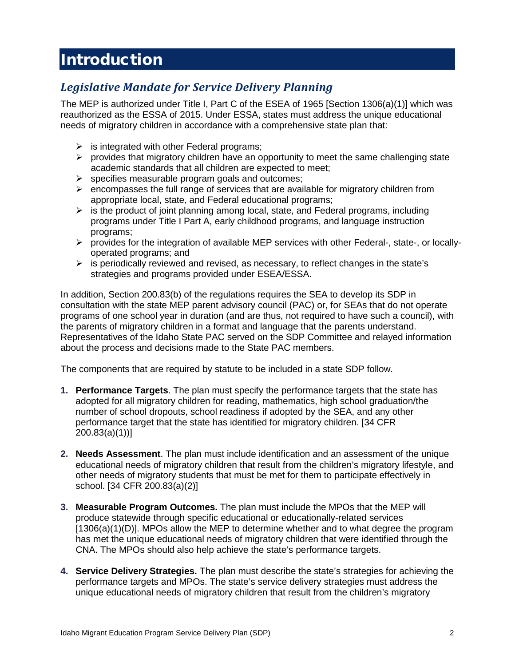# <span id="page-6-0"></span>Introduction

# <span id="page-6-1"></span>*Legislative Mandate for Service Delivery Planning*

The MEP is authorized under Title I, Part C of the ESEA of 1965 [Section 1306(a)(1)] which was reauthorized as the ESSA of 2015. Under ESSA, states must address the unique educational needs of migratory children in accordance with a comprehensive state plan that:

- $\triangleright$  is integrated with other Federal programs;
- $\triangleright$  provides that migratory children have an opportunity to meet the same challenging state academic standards that all children are expected to meet;
- $\triangleright$  specifies measurable program goals and outcomes;
- $\triangleright$  encompasses the full range of services that are available for migratory children from appropriate local, state, and Federal educational programs;
- $\triangleright$  is the product of joint planning among local, state, and Federal programs, including programs under Title I Part A, early childhood programs, and language instruction programs;
- $\triangleright$  provides for the integration of available MEP services with other Federal-, state-, or locallyoperated programs; and
- $\triangleright$  is periodically reviewed and revised, as necessary, to reflect changes in the state's strategies and programs provided under ESEA/ESSA.

In addition, Section 200.83(b) of the regulations requires the SEA to develop its SDP in consultation with the state MEP parent advisory council (PAC) or, for SEAs that do not operate programs of one school year in duration (and are thus, not required to have such a council), with the parents of migratory children in a format and language that the parents understand. Representatives of the Idaho State PAC served on the SDP Committee and relayed information about the process and decisions made to the State PAC members.

The components that are required by statute to be included in a state SDP follow.

- **1. Performance Targets**. The plan must specify the performance targets that the state has adopted for all migratory children for reading, mathematics, high school graduation/the number of school dropouts, school readiness if adopted by the SEA, and any other performance target that the state has identified for migratory children. [34 CFR 200.83(a)(1))]
- **2. Needs Assessment**. The plan must include identification and an assessment of the unique educational needs of migratory children that result from the children's migratory lifestyle, and other needs of migratory students that must be met for them to participate effectively in school. [34 CFR 200.83(a)(2)]
- **3. Measurable Program Outcomes.** The plan must include the MPOs that the MEP will produce statewide through specific educational or educationally-related services [1306(a)(1)(D)]. MPOs allow the MEP to determine whether and to what degree the program has met the unique educational needs of migratory children that were identified through the CNA. The MPOs should also help achieve the state's performance targets.
- **4. Service Delivery Strategies.** The plan must describe the state's strategies for achieving the performance targets and MPOs. The state's service delivery strategies must address the unique educational needs of migratory children that result from the children's migratory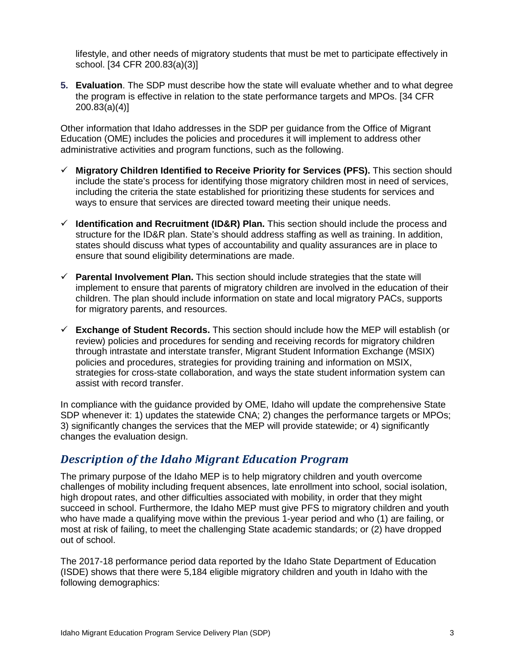lifestyle, and other needs of migratory students that must be met to participate effectively in school. [34 CFR 200.83(a)(3)]

**5. Evaluation**. The SDP must describe how the state will evaluate whether and to what degree the program is effective in relation to the state performance targets and MPOs. [34 CFR 200.83(a)(4)]

Other information that Idaho addresses in the SDP per guidance from the Office of Migrant Education (OME) includes the policies and procedures it will implement to address other administrative activities and program functions, such as the following.

- **Migratory Children Identified to Receive Priority for Services (PFS).** This section should include the state's process for identifying those migratory children most in need of services, including the criteria the state established for prioritizing these students for services and ways to ensure that services are directed toward meeting their unique needs.
- **Identification and Recruitment (ID&R) Plan.** This section should include the process and structure for the ID&R plan. State's should address staffing as well as training. In addition, states should discuss what types of accountability and quality assurances are in place to ensure that sound eligibility determinations are made.
- **Parental Involvement Plan.** This section should include strategies that the state will implement to ensure that parents of migratory children are involved in the education of their children. The plan should include information on state and local migratory PACs, supports for migratory parents, and resources.
- **Exchange of Student Records.** This section should include how the MEP will establish (or review) policies and procedures for sending and receiving records for migratory children through intrastate and interstate transfer, Migrant Student Information Exchange (MSIX) policies and procedures, strategies for providing training and information on MSIX, strategies for cross-state collaboration, and ways the state student information system can assist with record transfer.

In compliance with the guidance provided by OME, Idaho will update the comprehensive State SDP whenever it: 1) updates the statewide CNA; 2) changes the performance targets or MPOs; 3) significantly changes the services that the MEP will provide statewide; or 4) significantly changes the evaluation design.

### <span id="page-7-0"></span>*Description of the Idaho Migrant Education Program*

The primary purpose of the Idaho MEP is to help migratory children and youth overcome challenges of mobility including frequent absences, late enrollment into school, social isolation, high dropout rates, and other difficulties associated with mobility, in order that they might succeed in school. Furthermore, the Idaho MEP must give PFS to migratory children and youth who have made a qualifying move within the previous 1-year period and who (1) are failing, or most at risk of failing, to meet the challenging State academic standards; or (2) have dropped out of school.

The 2017-18 performance period data reported by the Idaho State Department of Education (ISDE) shows that there were 5,184 eligible migratory children and youth in Idaho with the following demographics: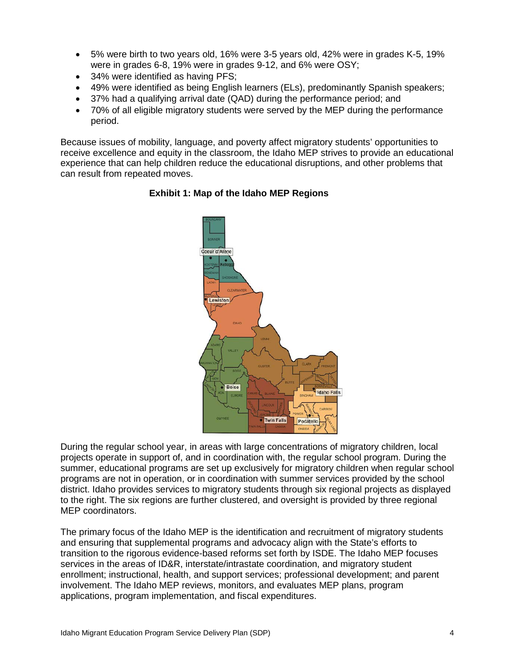- 5% were birth to two years old, 16% were 3-5 years old, 42% were in grades K-5, 19% were in grades 6-8, 19% were in grades 9-12, and 6% were OSY;
- 34% were identified as having PFS;
- 49% were identified as being English learners (ELs), predominantly Spanish speakers;
- 37% had a qualifying arrival date (QAD) during the performance period; and
- 70% of all eligible migratory students were served by the MEP during the performance period.

Because issues of mobility, language, and poverty affect migratory students' opportunities to receive excellence and equity in the classroom, the Idaho MEP strives to provide an educational experience that can help children reduce the educational disruptions, and other problems that can result from repeated moves.



#### **Exhibit 1: Map of the Idaho MEP Regions**

During the regular school year, in areas with large concentrations of migratory children, local projects operate in support of, and in coordination with, the regular school program. During the summer, educational programs are set up exclusively for migratory children when regular school programs are not in operation, or in coordination with summer services provided by the school district. Idaho provides services to migratory students through six regional projects as displayed to the right. The six regions are further clustered, and oversight is provided by three regional MEP coordinators.

The primary focus of the Idaho MEP is the identification and recruitment of migratory students and ensuring that supplemental programs and advocacy align with the State's efforts to transition to the rigorous evidence-based reforms set forth by ISDE. The Idaho MEP focuses services in the areas of ID&R, interstate/intrastate coordination, and migratory student enrollment; instructional, health, and support services; professional development; and parent involvement. The Idaho MEP reviews, monitors, and evaluates MEP plans, program applications, program implementation, and fiscal expenditures.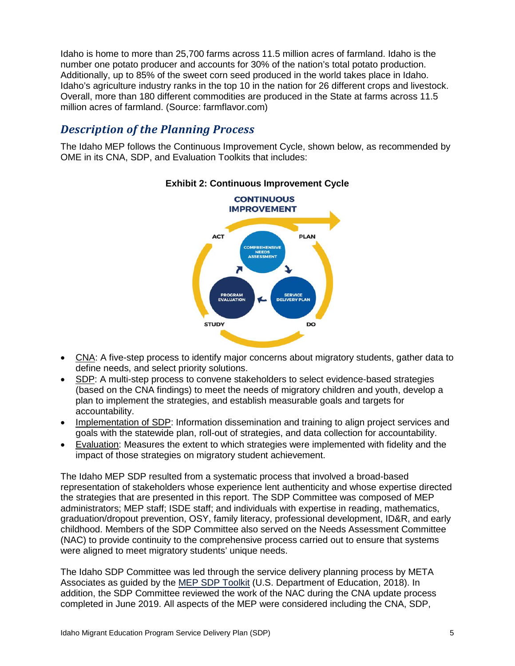Idaho is home to more than 25,700 farms across 11.5 million acres of farmland. Idaho is the number one potato producer and accounts for 30% of the nation's total potato production. Additionally, up to 85% of the sweet corn seed produced in the world takes place in Idaho. Idaho's agriculture industry ranks in the top 10 in the nation for 26 different crops and livestock. Overall, more than 180 different commodities are produced in the State at farms across 11.5 million acres of farmland. (Source: farmflavor.com)

### <span id="page-9-0"></span>*Description of the Planning Process*

The Idaho MEP follows the Continuous Improvement Cycle, shown below, as recommended by OME in its CNA, SDP, and Evaluation Toolkits that includes:



#### **Exhibit 2: Continuous Improvement Cycle**

- CNA: A five-step process to identify major concerns about migratory students, gather data to define needs, and select priority solutions.
- SDP: A multi-step process to convene stakeholders to select evidence-based strategies (based on the CNA findings) to meet the needs of migratory children and youth, develop a plan to implement the strategies, and establish measurable goals and targets for accountability.
- Implementation of SDP: Information dissemination and training to align project services and goals with the statewide plan, roll-out of strategies, and data collection for accountability.
- Evaluation: Measures the extent to which strategies were implemented with fidelity and the impact of those strategies on migratory student achievement.

The Idaho MEP SDP resulted from a systematic process that involved a broad-based representation of stakeholders whose experience lent authenticity and whose expertise directed the strategies that are presented in this report. The SDP Committee was composed of MEP administrators; MEP staff; ISDE staff; and individuals with expertise in reading, mathematics, graduation/dropout prevention, OSY, family literacy, professional development, ID&R, and early childhood. Members of the SDP Committee also served on the Needs Assessment Committee (NAC) to provide continuity to the comprehensive process carried out to ensure that systems were aligned to meet migratory students' unique needs.

The Idaho SDP Committee was led through the service delivery planning process by META Associates as guided by the [MEP SDP Toolkit](https://results.ed.gov/sdp-toolkit/article/service-delivery-plan-process-overview/service-delivery-plan-process-overview) (U.S. Department of Education, 2018). In addition, the SDP Committee reviewed the work of the NAC during the CNA update process completed in June 2019. All aspects of the MEP were considered including the CNA, SDP,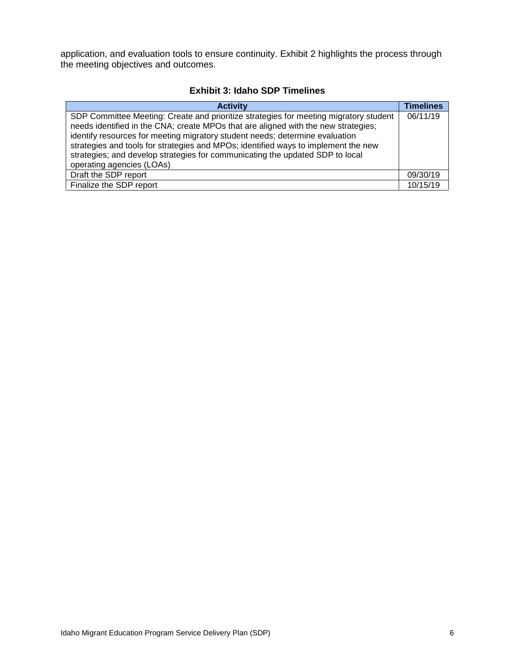application, and evaluation tools to ensure continuity. Exhibit 2 highlights the process through the meeting objectives and outcomes.

#### **Exhibit 3: Idaho SDP Timelines**

| <b>Activity</b>                                                                                                                                                                                                                                                                                                                                   | <b>Timelines</b> |
|---------------------------------------------------------------------------------------------------------------------------------------------------------------------------------------------------------------------------------------------------------------------------------------------------------------------------------------------------|------------------|
| SDP Committee Meeting: Create and prioritize strategies for meeting migratory student<br>needs identified in the CNA; create MPOs that are aligned with the new strategies;<br>identify resources for meeting migratory student needs; determine evaluation<br>strategies and tools for strategies and MPOs; identified ways to implement the new | 06/11/19         |
| strategies; and develop strategies for communicating the updated SDP to local<br>operating agencies (LOAs)                                                                                                                                                                                                                                        |                  |
|                                                                                                                                                                                                                                                                                                                                                   |                  |
| Draft the SDP report                                                                                                                                                                                                                                                                                                                              | 09/30/19         |
| Finalize the SDP report                                                                                                                                                                                                                                                                                                                           | 10/15/19         |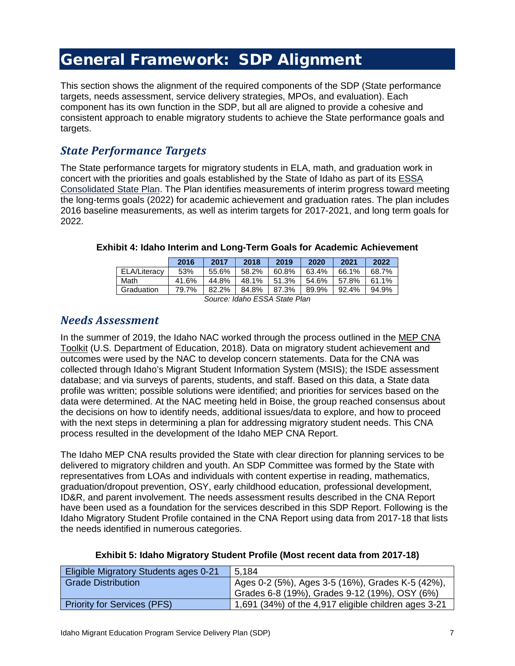# <span id="page-11-0"></span>General Framework: SDP Alignment

This section shows the alignment of the required components of the SDP (State performance targets, needs assessment, service delivery strategies, MPOs, and evaluation). Each component has its own function in the SDP, but all are aligned to provide a cohesive and consistent approach to enable migratory students to achieve the State performance goals and targets.

### <span id="page-11-1"></span>*State Performance Targets*

The State performance targets for migratory students in ELA, math, and graduation work in concert with the priorities and goals established by the State of Idaho as part of its [ESSA](https://www2.ed.gov/admins/lead/account/stateplan17/idconsolidatedstateplanfinal.pdf)  [Consolidated State Plan.](https://www2.ed.gov/admins/lead/account/stateplan17/idconsolidatedstateplanfinal.pdf) The Plan identifies measurements of interim progress toward meeting the long-terms goals (2022) for academic achievement and graduation rates. The plan includes 2016 baseline measurements, as well as interim targets for 2017-2021, and long term goals for 2022.

|              | 2016  | 2017  | 2018  | 2019  | 2020  | 2021  | 2022  |
|--------------|-------|-------|-------|-------|-------|-------|-------|
| ELA/Literacy | 53%   | 55.6% | 58.2% | 60.8% | 63.4% | 66.1% | 68.7% |
| Math         | 41.6% | 44.8% | 48.1% | 51.3% | 54.6% | 57.8% | 61.1% |
| Graduation   | 79.7% | 82.2% | 84.8% | 87.3% | 89.9% | 92.4% | 94.9% |

#### **Exhibit 4: Idaho Interim and Long-Term Goals for Academic Achievement**

*Source: Idaho ESSA State Plan*

#### <span id="page-11-2"></span>*Needs Assessment*

In the summer of 2019, the Idaho NAC worked through the process outlined in the [MEP CNA](https://results.ed.gov/cna-toolkit)  [Toolkit](https://results.ed.gov/cna-toolkit) (U.S. Department of Education, 2018). Data on migratory student achievement and outcomes were used by the NAC to develop concern statements. Data for the CNA was collected through Idaho's Migrant Student Information System (MSIS); the ISDE assessment database; and via surveys of parents, students, and staff. Based on this data, a State data profile was written; possible solutions were identified; and priorities for services based on the data were determined. At the NAC meeting held in Boise, the group reached consensus about the decisions on how to identify needs, additional issues/data to explore, and how to proceed with the next steps in determining a plan for addressing migratory student needs. This CNA process resulted in the development of the Idaho MEP CNA Report.

The Idaho MEP CNA results provided the State with clear direction for planning services to be delivered to migratory children and youth. An SDP Committee was formed by the State with representatives from LOAs and individuals with content expertise in reading, mathematics, graduation/dropout prevention, OSY, early childhood education, professional development, ID&R, and parent involvement. The needs assessment results described in the CNA Report have been used as a foundation for the services described in this SDP Report. Following is the Idaho Migratory Student Profile contained in the CNA Report using data from 2017-18 that lists the needs identified in numerous categories.

| <b>Eligible Migratory Students ages 0-21</b> | 5.184                                                |
|----------------------------------------------|------------------------------------------------------|
| <b>Grade Distribution</b>                    | Ages 0-2 (5%), Ages 3-5 (16%), Grades K-5 (42%),     |
|                                              | Grades 6-8 (19%), Grades 9-12 (19%), OSY (6%)        |
| <b>Priority for Services (PFS)</b>           | 1,691 (34%) of the 4,917 eligible children ages 3-21 |

#### **Exhibit 5: Idaho Migratory Student Profile (Most recent data from 2017-18)**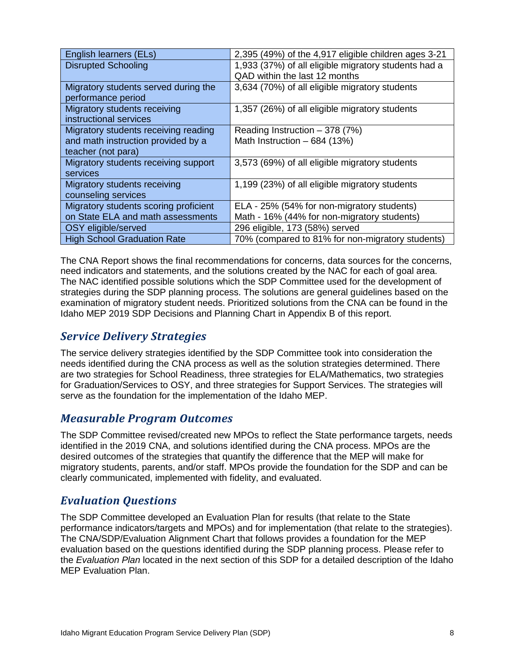| English learners (ELs)                | 2,395 (49%) of the 4,917 eligible children ages 3-21 |  |  |
|---------------------------------------|------------------------------------------------------|--|--|
| <b>Disrupted Schooling</b>            | 1,933 (37%) of all eligible migratory students had a |  |  |
|                                       | QAD within the last 12 months                        |  |  |
| Migratory students served during the  | 3,634 (70%) of all eligible migratory students       |  |  |
| performance period                    |                                                      |  |  |
| Migratory students receiving          | 1,357 (26%) of all eligible migratory students       |  |  |
| instructional services                |                                                      |  |  |
| Migratory students receiving reading  | Reading Instruction $-378(7%)$                       |  |  |
| and math instruction provided by a    | Math Instruction $-684$ (13%)                        |  |  |
| teacher (not para)                    |                                                      |  |  |
| Migratory students receiving support  | 3,573 (69%) of all eligible migratory students       |  |  |
| services                              |                                                      |  |  |
| Migratory students receiving          | 1,199 (23%) of all eligible migratory students       |  |  |
| counseling services                   |                                                      |  |  |
| Migratory students scoring proficient | ELA - 25% (54% for non-migratory students)           |  |  |
| on State ELA and math assessments     | Math - 16% (44% for non-migratory students)          |  |  |
| OSY eligible/served                   | 296 eligible, 173 (58%) served                       |  |  |
| <b>High School Graduation Rate</b>    | 70% (compared to 81% for non-migratory students)     |  |  |

The CNA Report shows the final recommendations for concerns, data sources for the concerns, need indicators and statements, and the solutions created by the NAC for each of goal area. The NAC identified possible solutions which the SDP Committee used for the development of strategies during the SDP planning process. The solutions are general guidelines based on the examination of migratory student needs. Prioritized solutions from the CNA can be found in the Idaho MEP 2019 SDP Decisions and Planning Chart in Appendix B of this report.

### <span id="page-12-0"></span>*Service Delivery Strategies*

The service delivery strategies identified by the SDP Committee took into consideration the needs identified during the CNA process as well as the solution strategies determined. There are two strategies for School Readiness, three strategies for ELA/Mathematics, two strategies for Graduation/Services to OSY, and three strategies for Support Services. The strategies will serve as the foundation for the implementation of the Idaho MEP.

### <span id="page-12-1"></span>*Measurable Program Outcomes*

The SDP Committee revised/created new MPOs to reflect the State performance targets, needs identified in the 2019 CNA, and solutions identified during the CNA process. MPOs are the desired outcomes of the strategies that quantify the difference that the MEP will make for migratory students, parents, and/or staff. MPOs provide the foundation for the SDP and can be clearly communicated, implemented with fidelity, and evaluated.

### <span id="page-12-2"></span>*Evaluation Questions*

The SDP Committee developed an Evaluation Plan for results (that relate to the State performance indicators/targets and MPOs) and for implementation (that relate to the strategies). The CNA/SDP/Evaluation Alignment Chart that follows provides a foundation for the MEP evaluation based on the questions identified during the SDP planning process. Please refer to the *Evaluation Plan* located in the next section of this SDP for a detailed description of the Idaho MEP Evaluation Plan.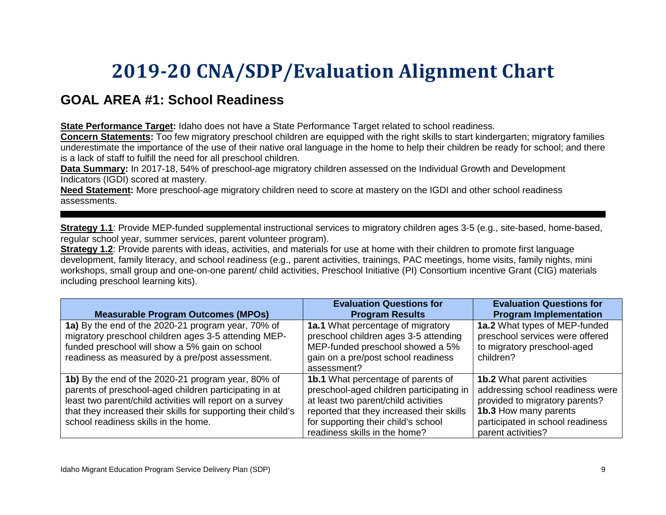# **2019-20 CNA/SDP/Evaluation Alignment Chart**

# **GOAL AREA #1: School Readiness**

**State Performance Target:** Idaho does not have a State Performance Target related to school readiness.

**Concern Statements:** Too few migratory preschool children are equipped with the right skills to start kindergarten; migratory families underestimate the importance of the use of their native oral language in the home to help their children be ready for school; and there is a lack of staff to fulfill the need for all preschool children.

**Data Summary:** In 2017-18, 54% of preschool-age migratory children assessed on the Individual Growth and Development Indicators (IGDI) scored at mastery.

<span id="page-13-0"></span>**Need Statement:** More preschool-age migratory children need to score at mastery on the IGDI and other school readiness assessments.

**Strategy 1.1**: Provide MEP-funded supplemental instructional services to migratory children ages 3-5 (e.g., site-based, home-based, regular school year, summer services, parent volunteer program).

**Strategy 1.2**: Provide parents with ideas, activities, and materials for use at home with their children to promote first language development, family literacy, and school readiness (e.g., parent activities, trainings, PAC meetings, home visits, family nights, mini workshops, small group and one-on-one parent/ child activities, Preschool Initiative (PI) Consortium incentive Grant (CIG) materials including preschool learning kits).

| <b>Measurable Program Outcomes (MPOs)</b>                                                                                                                                                                                                                                          | <b>Evaluation Questions for</b><br><b>Program Results</b>                                                                                                                                                                                          | <b>Evaluation Questions for</b><br><b>Program Implementation</b>                                                                                                                            |
|------------------------------------------------------------------------------------------------------------------------------------------------------------------------------------------------------------------------------------------------------------------------------------|----------------------------------------------------------------------------------------------------------------------------------------------------------------------------------------------------------------------------------------------------|---------------------------------------------------------------------------------------------------------------------------------------------------------------------------------------------|
| 1a) By the end of the 2020-21 program year, 70% of<br>migratory preschool children ages 3-5 attending MEP-<br>funded preschool will show a 5% gain on school<br>readiness as measured by a pre/post assessment.                                                                    | <b>1a.1</b> What percentage of migratory<br>preschool children ages 3-5 attending<br>MEP-funded preschool showed a 5%<br>gain on a pre/post school readiness<br>assessment?                                                                        | 1a.2 What types of MEP-funded<br>preschool services were offered<br>to migratory preschool-aged<br>children?                                                                                |
| 1b) By the end of the 2020-21 program year, 80% of<br>parents of preschool-aged children participating in at<br>least two parent/child activities will report on a survey<br>that they increased their skills for supporting their child's<br>school readiness skills in the home. | <b>1b.1</b> What percentage of parents of<br>preschool-aged children participating in<br>at least two parent/child activities<br>reported that they increased their skills<br>for supporting their child's school<br>readiness skills in the home? | <b>1b.2</b> What parent activities<br>addressing school readiness were<br>provided to migratory parents?<br>1b.3 How many parents<br>participated in school readiness<br>parent activities? |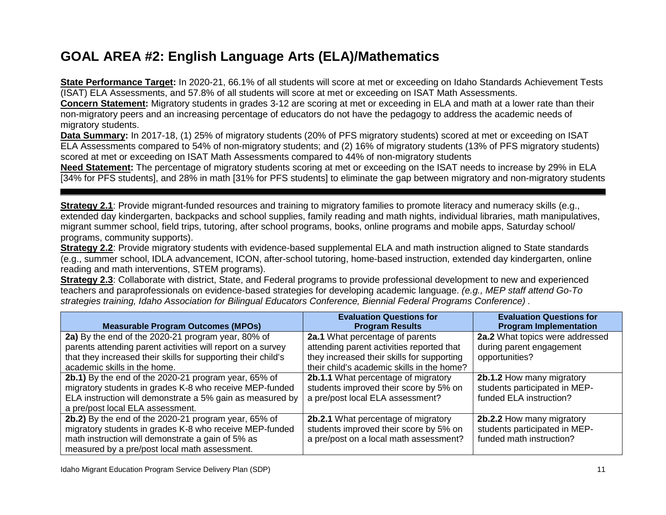# **GOAL AREA #2: English Language Arts (ELA)/Mathematics**

**State Performance Target:** In 2020-21, 66.1% of all students will score at met or exceeding on Idaho Standards Achievement Tests (ISAT) ELA Assessments, and 57.8% of all students will score at met or exceeding on ISAT Math Assessments.

**Concern Statement:** Migratory students in grades 3-12 are scoring at met or exceeding in ELA and math at a lower rate than their non-migratory peers and an increasing percentage of educators do not have the pedagogy to address the academic needs of migratory students.

**Data Summary:** In 2017-18, (1) 25% of migratory students (20% of PFS migratory students) scored at met or exceeding on ISAT ELA Assessments compared to 54% of non-migratory students; and (2) 16% of migratory students (13% of PFS migratory students) scored at met or exceeding on ISAT Math Assessments compared to 44% of non-migratory students

**Need Statement:** The percentage of migratory students scoring at met or exceeding on the ISAT needs to increase by 29% in ELA [34% for PFS students], and 28% in math [31% for PFS students] to eliminate the gap between migratory and non-migratory students

**Strategy 2.1**: Provide migrant-funded resources and training to migratory families to promote literacy and numeracy skills (e.g., extended day kindergarten, backpacks and school supplies, family reading and math nights, individual libraries, math manipulatives, migrant summer school, field trips, tutoring, after school programs, books, online programs and mobile apps, Saturday school/ programs, community supports).

**Strategy 2.2**: Provide migratory students with evidence-based supplemental ELA and math instruction aligned to State standards (e.g., summer school, IDLA advancement, ICON, after-school tutoring, home-based instruction, extended day kindergarten, online reading and math interventions, STEM programs).

**Strategy 2.3**: Collaborate with district, State, and Federal programs to provide professional development to new and experienced teachers and paraprofessionals on evidence-based strategies for developing academic language. *(e.g., MEP staff attend Go-To strategies training, Idaho Association for Bilingual Educators Conference, Biennial Federal Programs Conference) .*

| <b>Measurable Program Outcomes (MPOs)</b>                     | <b>Evaluation Questions for</b><br><b>Program Results</b> | <b>Evaluation Questions for</b><br><b>Program Implementation</b> |
|---------------------------------------------------------------|-----------------------------------------------------------|------------------------------------------------------------------|
| 2a) By the end of the 2020-21 program year, 80% of            | 2a.1 What percentage of parents                           | 2a.2 What topics were addressed                                  |
| parents attending parent activities will report on a survey   | attending parent activities reported that                 | during parent engagement                                         |
| that they increased their skills for supporting their child's | they increased their skills for supporting                | opportunities?                                                   |
| academic skills in the home.                                  | their child's academic skills in the home?                |                                                                  |
| 2b.1) By the end of the 2020-21 program year, 65% of          | 2b.1.1 What percentage of migratory                       | 2b.1.2 How many migratory                                        |
| migratory students in grades K-8 who receive MEP-funded       | students improved their score by 5% on                    | students participated in MEP-                                    |
| ELA instruction will demonstrate a 5% gain as measured by     | a pre/post local ELA assessment?                          | funded ELA instruction?                                          |
| a pre/post local ELA assessment.                              |                                                           |                                                                  |
| 2b.2) By the end of the 2020-21 program year, 65% of          | <b>2b.2.1</b> What percentage of migratory                | 2b.2.2 How many migratory                                        |
| migratory students in grades K-8 who receive MEP-funded       | students improved their score by 5% on                    | students participated in MEP-                                    |
| math instruction will demonstrate a gain of 5% as             | a pre/post on a local math assessment?                    | funded math instruction?                                         |
| measured by a pre/post local math assessment.                 |                                                           |                                                                  |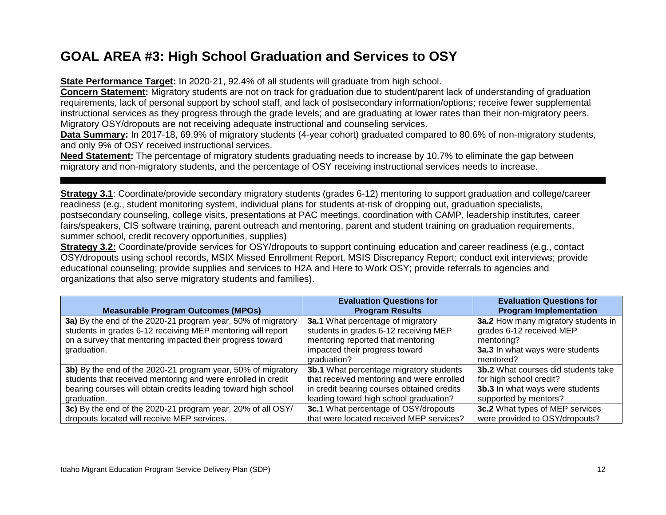# **GOAL AREA #3: High School Graduation and Services to OSY**

**State Performance Target:** In 2020-21, 92.4% of all students will graduate from high school.

**Concern Statement:** Migratory students are not on track for graduation due to student/parent lack of understanding of graduation requirements, lack of personal support by school staff, and lack of postsecondary information/options; receive fewer supplemental instructional services as they progress through the grade levels; and are graduating at lower rates than their non-migratory peers. Migratory OSY/dropouts are not receiving adequate instructional and counseling services.

**Data Summary:** In 2017-18, 69.9% of migratory students (4-year cohort) graduated compared to 80.6% of non-migratory students, and only 9% of OSY received instructional services.

**Need Statement:** The percentage of migratory students graduating needs to increase by 10.7% to eliminate the gap between migratory and non-migratory students, and the percentage of OSY receiving instructional services needs to increase.

**Strategy 3.1**: Coordinate/provide secondary migratory students (grades 6-12) mentoring to support graduation and college/career readiness (e.g., student monitoring system, individual plans for students at-risk of dropping out, graduation specialists, postsecondary counseling, college visits, presentations at PAC meetings, coordination with CAMP, leadership institutes, career fairs/speakers, CIS software training, parent outreach and mentoring, parent and student training on graduation requirements, summer school, credit recovery opportunities, supplies)

**Strategy 3.2:** Coordinate/provide services for OSY/dropouts to support continuing education and career readiness (e.g., contact OSY/dropouts using school records, MSIX Missed Enrollment Report, MSIS Discrepancy Report; conduct exit interviews; provide educational counseling; provide supplies and services to H2A and Here to Work OSY; provide referrals to agencies and organizations that also serve migratory students and families).

|                                                                | <b>Evaluation Questions for</b>                | <b>Evaluation Questions for</b>            |
|----------------------------------------------------------------|------------------------------------------------|--------------------------------------------|
| <b>Measurable Program Outcomes (MPOs)</b>                      | <b>Program Results</b>                         | <b>Program Implementation</b>              |
| 3a) By the end of the 2020-21 program year, 50% of migratory   | 3a.1 What percentage of migratory              | 3a.2 How many migratory students in        |
| students in grades 6-12 receiving MEP mentoring will report    | students in grades 6-12 receiving MEP          | grades 6-12 received MEP                   |
| on a survey that mentoring impacted their progress toward      | mentoring reported that mentoring              | mentoring?                                 |
| graduation.                                                    | impacted their progress toward                 | 3a.3 In what ways were students            |
|                                                                | graduation?                                    | mentored?                                  |
| 3b) By the end of the 2020-21 program year, 50% of migratory   | <b>3b.1</b> What percentage migratory students | <b>3b.2</b> What courses did students take |
| students that received mentoring and were enrolled in credit   | that received mentoring and were enrolled      | for high school credit?                    |
| bearing courses will obtain credits leading toward high school | in credit bearing courses obtained credits     | 3b.3 In what ways were students            |
| graduation.                                                    | leading toward high school graduation?         | supported by mentors?                      |
| 3c) By the end of the 2020-21 program year, 20% of all OSY/    | 3c.1 What percentage of OSY/dropouts           | 3c.2 What types of MEP services            |
| dropouts located will receive MEP services.                    | that were located received MEP services?       | were provided to OSY/dropouts?             |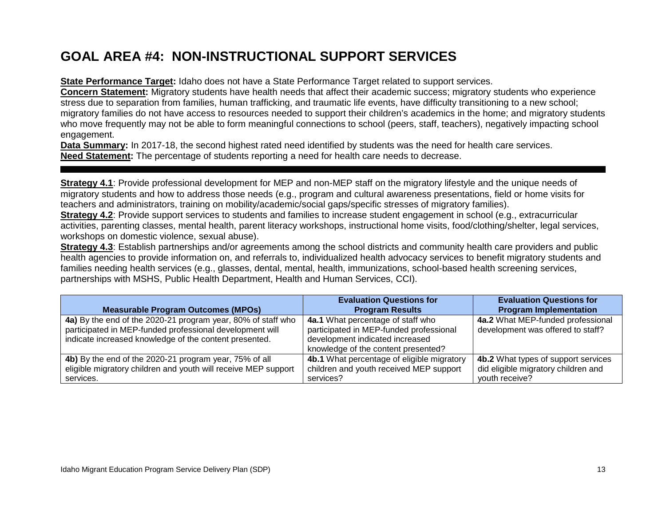# **GOAL AREA #4: NON-INSTRUCTIONAL SUPPORT SERVICES**

**State Performance Target:** Idaho does not have a State Performance Target related to support services.

**Concern Statement:** Migratory students have health needs that affect their academic success; migratory students who experience stress due to separation from families, human trafficking, and traumatic life events, have difficulty transitioning to a new school; migratory families do not have access to resources needed to support their children's academics in the home; and migratory students who move frequently may not be able to form meaningful connections to school (peers, staff, teachers), negatively impacting school engagement.

**Data Summary:** In 2017-18, the second highest rated need identified by students was the need for health care services. **Need Statement:** The percentage of students reporting a need for health care needs to decrease.

**Strategy 4.1**: Provide professional development for MEP and non-MEP staff on the migratory lifestyle and the unique needs of migratory students and how to address those needs (e.g., program and cultural awareness presentations, field or home visits for teachers and administrators, training on mobility/academic/social gaps/specific stresses of migratory families).

**Strategy 4.2**: Provide support services to students and families to increase student engagement in school (e.g., extracurricular activities, parenting classes, mental health, parent literacy workshops, instructional home visits, food/clothing/shelter, legal services, workshops on domestic violence, sexual abuse).

**Strategy 4.3**: Establish partnerships and/or agreements among the school districts and community health care providers and public health agencies to provide information on, and referrals to, individualized health advocacy services to benefit migratory students and families needing health services (e.g., glasses, dental, mental, health, immunizations, school-based health screening services, partnerships with MSHS, Public Health Department, Health and Human Services, CCI).

|                                                                | <b>Evaluation Questions for</b>            | <b>Evaluation Questions for</b>     |
|----------------------------------------------------------------|--------------------------------------------|-------------------------------------|
| <b>Measurable Program Outcomes (MPOs)</b>                      | <b>Program Results</b>                     | <b>Program Implementation</b>       |
| 4a) By the end of the 2020-21 program year, 80% of staff who   | 4a.1 What percentage of staff who          | 4a.2 What MEP-funded professional   |
| participated in MEP-funded professional development will       | participated in MEP-funded professional    | development was offered to staff?   |
| indicate increased knowledge of the content presented.         | development indicated increased            |                                     |
|                                                                | knowledge of the content presented?        |                                     |
| 4b) By the end of the 2020-21 program year, 75% of all         | 4b.1 What percentage of eligible migratory | 4b.2 What types of support services |
| eligible migratory children and youth will receive MEP support | children and youth received MEP support    | did eligible migratory children and |
| services.                                                      | services?                                  | youth receive?                      |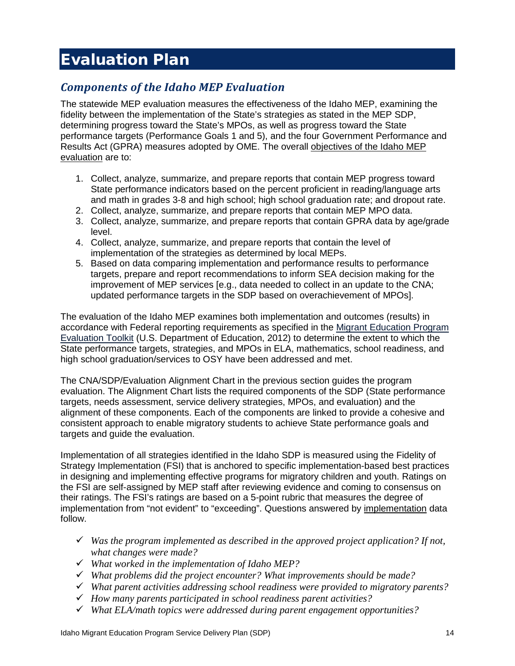# <span id="page-18-0"></span>Evaluation Plan

### <span id="page-18-1"></span>*Components of the Idaho MEP Evaluation*

The statewide MEP evaluation measures the effectiveness of the Idaho MEP, examining the fidelity between the implementation of the State's strategies as stated in the MEP SDP, determining progress toward the State's MPOs, as well as progress toward the State performance targets (Performance Goals 1 and 5), and the four Government Performance and Results Act (GPRA) measures adopted by OME. The overall objectives of the Idaho MEP evaluation are to:

- 1. Collect, analyze, summarize, and prepare reports that contain MEP progress toward State performance indicators based on the percent proficient in reading/language arts and math in grades 3-8 and high school; high school graduation rate; and dropout rate.
- 2. Collect, analyze, summarize, and prepare reports that contain MEP MPO data.
- 3. Collect, analyze, summarize, and prepare reports that contain GPRA data by age/grade level.
- 4. Collect, analyze, summarize, and prepare reports that contain the level of implementation of the strategies as determined by local MEPs.
- 5. Based on data comparing implementation and performance results to performance targets, prepare and report recommendations to inform SEA decision making for the improvement of MEP services [e.g., data needed to collect in an update to the CNA; updated performance targets in the SDP based on overachievement of MPOs].

The evaluation of the Idaho MEP examines both implementation and outcomes (results) in accordance with Federal reporting requirements as specified in the [Migrant Education Program](https://results.ed.gov/curriculum/program_evaluation)  [Evaluation Toolkit](https://results.ed.gov/curriculum/program_evaluation) (U.S. Department of Education, 2012) to determine the extent to which the State performance targets, strategies, and MPOs in ELA, mathematics, school readiness, and high school graduation/services to OSY have been addressed and met.

The CNA/SDP/Evaluation Alignment Chart in the previous section guides the program evaluation. The Alignment Chart lists the required components of the SDP (State performance targets, needs assessment, service delivery strategies, MPOs, and evaluation) and the alignment of these components. Each of the components are linked to provide a cohesive and consistent approach to enable migratory students to achieve State performance goals and targets and guide the evaluation.

Implementation of all strategies identified in the Idaho SDP is measured using the Fidelity of Strategy Implementation (FSI) that is anchored to specific implementation-based best practices in designing and implementing effective programs for migratory children and youth. Ratings on the FSI are self-assigned by MEP staff after reviewing evidence and coming to consensus on their ratings. The FSI's ratings are based on a 5-point rubric that measures the degree of implementation from "not evident" to "exceeding". Questions answered by implementation data follow.

- *Was the program implemented as described in the approved project application? If not, what changes were made?*
- *What worked in the implementation of Idaho MEP?*
- *What problems did the project encounter? What improvements should be made?*
- *What parent activities addressing school readiness were provided to migratory parents?*
- *How many parents participated in school readiness parent activities?*
- *What ELA/math topics were addressed during parent engagement opportunities?*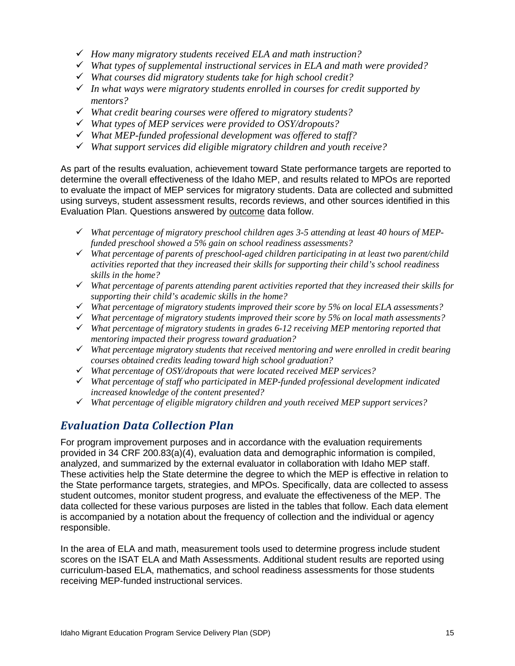- *How many migratory students received ELA and math instruction?*
- *What types of supplemental instructional services in ELA and math were provided?*
- *What courses did migratory students take for high school credit?*
- *In what ways were migratory students enrolled in courses for credit supported by mentors?*
- *What credit bearing courses were offered to migratory students?*
- *What types of MEP services were provided to OSY/dropouts?*
- *What MEP-funded professional development was offered to staff?*
- *What support services did eligible migratory children and youth receive?*

As part of the results evaluation, achievement toward State performance targets are reported to determine the overall effectiveness of the Idaho MEP, and results related to MPOs are reported to evaluate the impact of MEP services for migratory students. Data are collected and submitted using surveys, student assessment results, records reviews, and other sources identified in this Evaluation Plan. Questions answered by outcome data follow.

- *What percentage of migratory preschool children ages 3-5 attending at least 40 hours of MEPfunded preschool showed a 5% gain on school readiness assessments?*
- *What percentage of parents of preschool-aged children participating in at least two parent/child activities reported that they increased their skills for supporting their child's school readiness skills in the home?*
- *What percentage of parents attending parent activities reported that they increased their skills for supporting their child's academic skills in the home?*
- *What percentage of migratory students improved their score by 5% on local ELA assessments?*
- *What percentage of migratory students improved their score by 5% on local math assessments?*
- *What percentage of migratory students in grades 6-12 receiving MEP mentoring reported that mentoring impacted their progress toward graduation?*
- *What percentage migratory students that received mentoring and were enrolled in credit bearing courses obtained credits leading toward high school graduation?*
- *What percentage of OSY/dropouts that were located received MEP services?*
- *What percentage of staff who participated in MEP-funded professional development indicated increased knowledge of the content presented?*
- *What percentage of eligible migratory children and youth received MEP support services?*

### <span id="page-19-0"></span>*Evaluation Data Collection Plan*

For program improvement purposes and in accordance with the evaluation requirements provided in 34 CRF 200.83(a)(4), evaluation data and demographic information is compiled, analyzed, and summarized by the external evaluator in collaboration with Idaho MEP staff. These activities help the State determine the degree to which the MEP is effective in relation to the State performance targets, strategies, and MPOs. Specifically, data are collected to assess student outcomes, monitor student progress, and evaluate the effectiveness of the MEP. The data collected for these various purposes are listed in the tables that follow. Each data element is accompanied by a notation about the frequency of collection and the individual or agency responsible.

In the area of ELA and math, measurement tools used to determine progress include student scores on the ISAT ELA and Math Assessments. Additional student results are reported using curriculum-based ELA, mathematics, and school readiness assessments for those students receiving MEP-funded instructional services.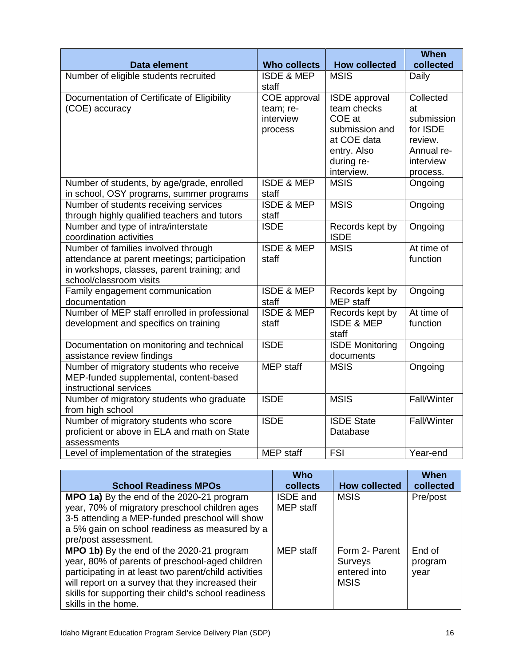|                                                               |                       |                        | When        |
|---------------------------------------------------------------|-----------------------|------------------------|-------------|
| Data element                                                  | <b>Who collects</b>   | <b>How collected</b>   | collected   |
| Number of eligible students recruited                         | <b>ISDE &amp; MEP</b> | <b>MSIS</b>            | Daily       |
|                                                               | staff                 |                        |             |
| Documentation of Certificate of Eligibility                   | COE approval          | <b>ISDE</b> approval   | Collected   |
| (COE) accuracy                                                | team; re-             | team checks            | at          |
|                                                               | interview             | COE at                 | submission  |
|                                                               | process               | submission and         | for ISDE    |
|                                                               |                       | at COE data            | review.     |
|                                                               |                       | entry. Also            | Annual re-  |
|                                                               |                       | during re-             | interview   |
|                                                               |                       | interview.             | process.    |
| Number of students, by age/grade, enrolled                    | <b>ISDE &amp; MEP</b> | <b>MSIS</b>            | Ongoing     |
| in school, OSY programs, summer programs                      | staff                 |                        |             |
| Number of students receiving services                         | <b>ISDE &amp; MEP</b> | <b>MSIS</b>            | Ongoing     |
| through highly qualified teachers and tutors                  | staff                 |                        |             |
| Number and type of intra/interstate                           | <b>ISDE</b>           | Records kept by        | Ongoing     |
| coordination activities                                       |                       | <b>ISDE</b>            |             |
| Number of families involved through                           | <b>ISDE &amp; MEP</b> | <b>MSIS</b>            | At time of  |
| attendance at parent meetings; participation                  | staff                 |                        | function    |
| in workshops, classes, parent training; and                   |                       |                        |             |
| school/classroom visits                                       |                       |                        |             |
| Family engagement communication                               | <b>ISDE &amp; MEP</b> | Records kept by        | Ongoing     |
| documentation                                                 | staff                 | <b>MEP</b> staff       |             |
| Number of MEP staff enrolled in professional                  | <b>ISDE &amp; MEP</b> | Records kept by        | At time of  |
| development and specifics on training                         | staff                 | <b>ISDE &amp; MEP</b>  | function    |
|                                                               |                       | staff                  |             |
| Documentation on monitoring and technical                     | <b>ISDE</b>           | <b>ISDE Monitoring</b> | Ongoing     |
| assistance review findings                                    |                       | documents              |             |
| Number of migratory students who receive                      | <b>MEP</b> staff      | <b>MSIS</b>            | Ongoing     |
| MEP-funded supplemental, content-based                        |                       |                        |             |
| instructional services                                        | <b>ISDE</b>           |                        | Fall/Winter |
| Number of migratory students who graduate<br>from high school |                       | <b>MSIS</b>            |             |
| Number of migratory students who score                        | <b>ISDE</b>           | <b>ISDE State</b>      | Fall/Winter |
| proficient or above in ELA and math on State                  |                       | Database               |             |
| assessments                                                   |                       |                        |             |
| Level of implementation of the strategies                     | <b>MEP</b> staff      | FSI                    | Year-end    |
|                                                               |                       |                        |             |

| <b>School Readiness MPOs</b>                                                                                                                                                                                                                                                              | <b>Who</b><br>collects              | <b>How collected</b>                                            | When<br>collected         |
|-------------------------------------------------------------------------------------------------------------------------------------------------------------------------------------------------------------------------------------------------------------------------------------------|-------------------------------------|-----------------------------------------------------------------|---------------------------|
| MPO 1a) By the end of the 2020-21 program<br>year, 70% of migratory preschool children ages<br>3-5 attending a MEP-funded preschool will show<br>a 5% gain on school readiness as measured by a<br>pre/post assessment.                                                                   | <b>ISDE</b> and<br><b>MEP</b> staff | <b>MSIS</b>                                                     | Pre/post                  |
| MPO 1b) By the end of the 2020-21 program<br>year, 80% of parents of preschool-aged children<br>participating in at least two parent/child activities<br>will report on a survey that they increased their<br>skills for supporting their child's school readiness<br>skills in the home. | MEP staff                           | Form 2- Parent<br><b>Surveys</b><br>entered into<br><b>MSIS</b> | End of<br>program<br>year |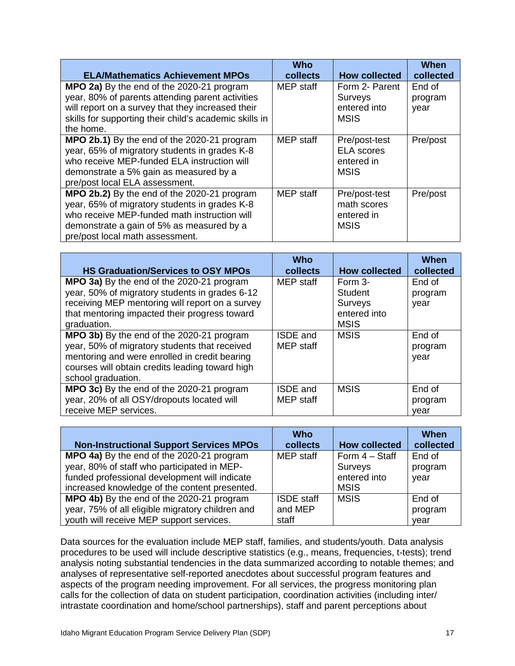| <b>ELA/Mathematics Achievement MPOs</b>                                                                                                                                                                                      | <b>Who</b><br>collects | <b>How collected</b>                                            | When<br>collected         |
|------------------------------------------------------------------------------------------------------------------------------------------------------------------------------------------------------------------------------|------------------------|-----------------------------------------------------------------|---------------------------|
| MPO 2a) By the end of the 2020-21 program<br>year, 80% of parents attending parent activities<br>will report on a survey that they increased their<br>skills for supporting their child's academic skills in<br>the home.    | MEP staff              | Form 2- Parent<br><b>Surveys</b><br>entered into<br><b>MSIS</b> | End of<br>program<br>year |
| MPO 2b.1) By the end of the 2020-21 program<br>year, 65% of migratory students in grades K-8<br>who receive MEP-funded ELA instruction will<br>demonstrate a 5% gain as measured by a<br>pre/post local ELA assessment.      | MEP staff              | Pre/post-test<br><b>ELA</b> scores<br>entered in<br><b>MSIS</b> | Pre/post                  |
| MPO 2b.2) By the end of the 2020-21 program<br>year, 65% of migratory students in grades K-8<br>who receive MEP-funded math instruction will<br>demonstrate a gain of 5% as measured by a<br>pre/post local math assessment. | MEP staff              | Pre/post-test<br>math scores<br>entered in<br><b>MSIS</b>       | Pre/post                  |

| <b>HS Graduation/Services to OSY MPOs</b>                                                                                                                                                                            | <b>Who</b><br>collects              | <b>How collected</b> | When<br>collected         |
|----------------------------------------------------------------------------------------------------------------------------------------------------------------------------------------------------------------------|-------------------------------------|----------------------|---------------------------|
| MPO 3a) By the end of the 2020-21 program                                                                                                                                                                            | MEP staff                           | Form 3-              | End of                    |
| year, 50% of migratory students in grades 6-12                                                                                                                                                                       |                                     | <b>Student</b>       | program                   |
| receiving MEP mentoring will report on a survey                                                                                                                                                                      |                                     | <b>Surveys</b>       | year                      |
| that mentoring impacted their progress toward                                                                                                                                                                        |                                     | entered into         |                           |
| graduation.                                                                                                                                                                                                          |                                     | <b>MSIS</b>          |                           |
| MPO 3b) By the end of the 2020-21 program<br>year, 50% of migratory students that received<br>mentoring and were enrolled in credit bearing<br>courses will obtain credits leading toward high<br>school graduation. | <b>ISDE</b> and<br><b>MEP</b> staff | <b>MSIS</b>          | End of<br>program<br>year |
| MPO 3c) By the end of the 2020-21 program<br>year, 20% of all OSY/dropouts located will<br>receive MEP services.                                                                                                     | <b>ISDE</b> and<br><b>MEP</b> staff | <b>MSIS</b>          | End of<br>program<br>year |

| <b>Non-Instructional Support Services MPOs</b>   | Who<br>collects   | <b>How collected</b> | When<br>collected |
|--------------------------------------------------|-------------------|----------------------|-------------------|
| MPO 4a) By the end of the 2020-21 program        | <b>MEP</b> staff  | Form 4 - Staff       | End of            |
| year, 80% of staff who participated in MEP-      |                   | Surveys              | program           |
| funded professional development will indicate    |                   | entered into         | year              |
| increased knowledge of the content presented.    |                   | <b>MSIS</b>          |                   |
| MPO 4b) By the end of the 2020-21 program        | <b>ISDE</b> staff | <b>MSIS</b>          | End of            |
| year, 75% of all eligible migratory children and | and MEP           |                      | program           |
| youth will receive MEP support services.         | staff             |                      | vear              |

Data sources for the evaluation include MEP staff, families, and students/youth. Data analysis procedures to be used will include descriptive statistics (e.g., means, frequencies, t-tests); trend analysis noting substantial tendencies in the data summarized according to notable themes; and analyses of representative self-reported anecdotes about successful program features and aspects of the program needing improvement. For all services, the progress monitoring plan calls for the collection of data on student participation, coordination activities (including inter/ intrastate coordination and home/school partnerships), staff and parent perceptions about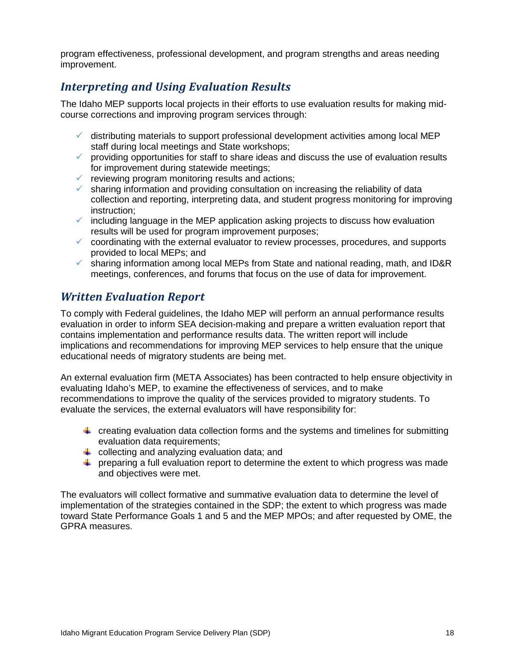program effectiveness, professional development, and program strengths and areas needing improvement.

### <span id="page-22-0"></span>*Interpreting and Using Evaluation Results*

The Idaho MEP supports local projects in their efforts to use evaluation results for making midcourse corrections and improving program services through:

- $\checkmark$  distributing materials to support professional development activities among local MEP staff during local meetings and State workshops;
- $\checkmark$  providing opportunities for staff to share ideas and discuss the use of evaluation results for improvement during statewide meetings;
- $\checkmark$  reviewing program monitoring results and actions;
- $\checkmark$  sharing information and providing consultation on increasing the reliability of data collection and reporting, interpreting data, and student progress monitoring for improving instruction;
- $\checkmark$  including language in the MEP application asking projects to discuss how evaluation results will be used for program improvement purposes;
- $\checkmark$  coordinating with the external evaluator to review processes, procedures, and supports provided to local MEPs; and
- $\checkmark$  sharing information among local MEPs from State and national reading, math, and ID&R meetings, conferences, and forums that focus on the use of data for improvement.

### <span id="page-22-1"></span>*Written Evaluation Report*

To comply with Federal guidelines, the Idaho MEP will perform an annual performance results evaluation in order to inform SEA decision-making and prepare a written evaluation report that contains implementation and performance results data. The written report will include implications and recommendations for improving MEP services to help ensure that the unique educational needs of migratory students are being met.

An external evaluation firm (META Associates) has been contracted to help ensure objectivity in evaluating Idaho's MEP, to examine the effectiveness of services, and to make recommendations to improve the quality of the services provided to migratory students. To evaluate the services, the external evaluators will have responsibility for:

- $\ddot{\phantom{1}}$  creating evaluation data collection forms and the systems and timelines for submitting evaluation data requirements:
- $\triangleq$  collecting and analyzing evaluation data; and
- $\ddot{\phantom{1}}$  preparing a full evaluation report to determine the extent to which progress was made and objectives were met.

The evaluators will collect formative and summative evaluation data to determine the level of implementation of the strategies contained in the SDP; the extent to which progress was made toward State Performance Goals 1 and 5 and the MEP MPOs; and after requested by OME, the GPRA measures.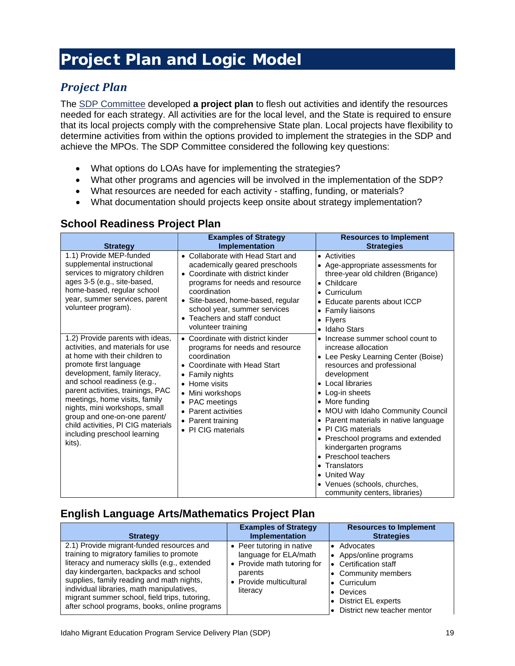# <span id="page-23-0"></span>Project Plan and Logic Model

## <span id="page-23-1"></span>*Project Plan*

The SDP Committee developed **a project plan** to flesh out activities and identify the resources needed for each strategy. All activities are for the local level, and the State is required to ensure that its local projects comply with the comprehensive State plan. Local projects have flexibility to determine activities from within the options provided to implement the strategies in the SDP and achieve the MPOs. The SDP Committee considered the following key questions:

- What options do LOAs have for implementing the strategies?
- What other programs and agencies will be involved in the implementation of the SDP?
- What resources are needed for each activity staffing, funding, or materials?
- What documentation should projects keep onsite about strategy implementation?

| <b>Strategy</b>                                                                                                                                                                                                                                                                                                                                                                                                          | <b>Examples of Strategy</b><br><b>Implementation</b>                                                                                                                                                                                                                                   | <b>Resources to Implement</b><br><b>Strategies</b>                                                                                                                                                                                                                                                                                                                                                                                                                                                                               |
|--------------------------------------------------------------------------------------------------------------------------------------------------------------------------------------------------------------------------------------------------------------------------------------------------------------------------------------------------------------------------------------------------------------------------|----------------------------------------------------------------------------------------------------------------------------------------------------------------------------------------------------------------------------------------------------------------------------------------|----------------------------------------------------------------------------------------------------------------------------------------------------------------------------------------------------------------------------------------------------------------------------------------------------------------------------------------------------------------------------------------------------------------------------------------------------------------------------------------------------------------------------------|
| 1.1) Provide MEP-funded<br>supplemental instructional<br>services to migratory children<br>ages 3-5 (e.g., site-based,<br>home-based, regular school<br>year, summer services, parent<br>volunteer program).                                                                                                                                                                                                             | • Collaborate with Head Start and<br>academically geared preschools<br>• Coordinate with district kinder<br>programs for needs and resource<br>coordination<br>· Site-based, home-based, regular<br>school year, summer services<br>• Teachers and staff conduct<br>volunteer training | • Activities<br>• Age-appropriate assessments for<br>three-year old children (Brigance)<br>$\bullet$ Childcare<br>Curriculum<br>Educate parents about ICCP<br><b>Family liaisons</b><br>$\bullet$<br><b>Flyers</b><br>$\bullet$<br>Idaho Stars<br>$\bullet$                                                                                                                                                                                                                                                                      |
| 1.2) Provide parents with ideas,<br>activities, and materials for use<br>at home with their children to<br>promote first language<br>development, family literacy,<br>and school readiness (e.g.,<br>parent activities, trainings, PAC<br>meetings, home visits, family<br>nights, mini workshops, small<br>group and one-on-one parent/<br>child activities, PI CIG materials<br>including preschool learning<br>kits). | • Coordinate with district kinder<br>programs for needs and resource<br>coordination<br>• Coordinate with Head Start<br>Family nights<br>$\bullet$<br>• Home visits<br>• Mini workshops<br>• PAC meetings<br>• Parent activities<br>• Parent training<br>• PI CIG materials            | Increase summer school count to<br>$\bullet$<br>increase allocation<br>• Lee Pesky Learning Center (Boise)<br>resources and professional<br>development<br>Local libraries<br>$\bullet$<br>• Log-in sheets<br>More funding<br>$\bullet$<br>• MOU with Idaho Community Council<br>• Parent materials in native language<br>• PI CIG materials<br>• Preschool programs and extended<br>kindergarten programs<br>Preschool teachers<br>Translators<br>• United Way<br>• Venues (schools, churches,<br>community centers, libraries) |

#### **English Language Arts/Mathematics Project Plan**

| <b>Strategy</b>                                                                                                                                                                                                                                                                                                                                                              | <b>Examples of Strategy</b><br><b>Implementation</b>                                                                                | <b>Resources to Implement</b><br><b>Strategies</b>                                                                                                                                    |
|------------------------------------------------------------------------------------------------------------------------------------------------------------------------------------------------------------------------------------------------------------------------------------------------------------------------------------------------------------------------------|-------------------------------------------------------------------------------------------------------------------------------------|---------------------------------------------------------------------------------------------------------------------------------------------------------------------------------------|
| 2.1) Provide migrant-funded resources and<br>training to migratory families to promote<br>literacy and numeracy skills (e.g., extended<br>day kindergarten, backpacks and school<br>supplies, family reading and math nights,<br>individual libraries, math manipulatives,<br>migrant summer school, field trips, tutoring,<br>after school programs, books, online programs | • Peer tutoring in native<br>language for ELA/math<br>• Provide math tutoring for<br>parents<br>• Provide multicultural<br>literacy | Advocates<br>• Apps/online programs<br><b>Certification staff</b><br>• Community members<br>$\bullet$ Curriculum<br>Devices<br>• District EL experts<br>• District new teacher mentor |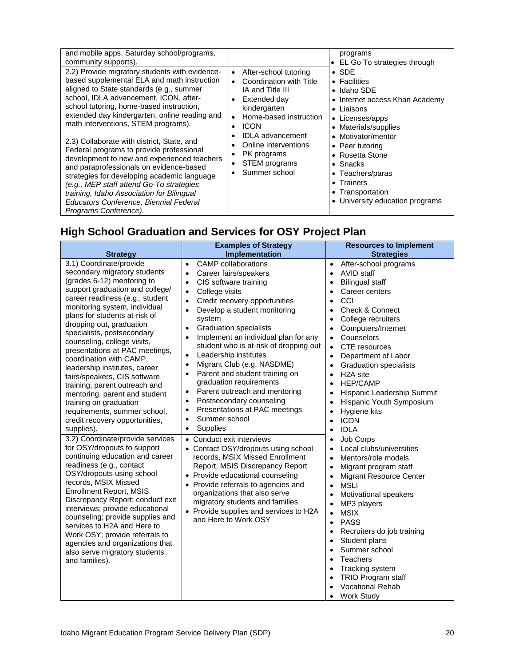| and mobile apps, Saturday school/programs,<br>community supports).                                                                                                                                                                                                                                                                                                                                                                                                                                                                                                                                                                                                                                                     |                                                                                                                                                                                                                                                                | programs<br>• EL Go To strategies through                                                                                                                                                                                                                                                                                        |
|------------------------------------------------------------------------------------------------------------------------------------------------------------------------------------------------------------------------------------------------------------------------------------------------------------------------------------------------------------------------------------------------------------------------------------------------------------------------------------------------------------------------------------------------------------------------------------------------------------------------------------------------------------------------------------------------------------------------|----------------------------------------------------------------------------------------------------------------------------------------------------------------------------------------------------------------------------------------------------------------|----------------------------------------------------------------------------------------------------------------------------------------------------------------------------------------------------------------------------------------------------------------------------------------------------------------------------------|
| 2.2) Provide migratory students with evidence-<br>based supplemental ELA and math instruction<br>aligned to State standards (e.g., summer<br>school, IDLA advancement, ICON, after-<br>school tutoring, home-based instruction,<br>extended day kindergarten, online reading and<br>math interventions, STEM programs).<br>2.3) Collaborate with district, State, and<br>Federal programs to provide professional<br>development to new and experienced teachers<br>and paraprofessionals on evidence-based<br>strategies for developing academic language<br>(e.g., MEP staff attend Go-To strategies<br>training, Idaho Association for Bilingual<br>Educators Conference, Biennial Federal<br>Programs Conference). | After-school tutoring<br>$\bullet$<br>Coordination with Title<br>IA and Title III<br>Extended day<br>kindergarten<br>Home-based instruction<br><b>ICON</b><br><b>IDLA</b> advancement<br>Online interventions<br>PK programs<br>STEM programs<br>Summer school | $\bullet$ SDE<br>$\bullet$ Facilities<br>• Idaho SDE<br>• Internet access Khan Academy<br>$\bullet$ Liaisons<br>• Licenses/apps<br>• Materials/supplies<br>• Motivator/mentor<br>• Peer tutoring<br>• Rosetta Stone<br>$\bullet$ Snacks<br>• Teachers/paras<br>• Trainers<br>• Transportation<br>• University education programs |

# **High School Graduation and Services for OSY Project Plan**

| <b>Strategy</b>                                                                                                                                                                                                                                                                                                                                                                                                                                                                                                                                                                                                                  | <b>Examples of Strategy</b><br>Implementation                                                                                                                                                                                                                                                                                                                                                                                                                                                                                                                                                                                                                                                                                                  | <b>Resources to Implement</b><br><b>Strategies</b>                                                                                                                                                                                                                                                                                                                                                                                                                                                                                                                                                                                                                        |
|----------------------------------------------------------------------------------------------------------------------------------------------------------------------------------------------------------------------------------------------------------------------------------------------------------------------------------------------------------------------------------------------------------------------------------------------------------------------------------------------------------------------------------------------------------------------------------------------------------------------------------|------------------------------------------------------------------------------------------------------------------------------------------------------------------------------------------------------------------------------------------------------------------------------------------------------------------------------------------------------------------------------------------------------------------------------------------------------------------------------------------------------------------------------------------------------------------------------------------------------------------------------------------------------------------------------------------------------------------------------------------------|---------------------------------------------------------------------------------------------------------------------------------------------------------------------------------------------------------------------------------------------------------------------------------------------------------------------------------------------------------------------------------------------------------------------------------------------------------------------------------------------------------------------------------------------------------------------------------------------------------------------------------------------------------------------------|
| 3.1) Coordinate/provide<br>secondary migratory students<br>(grades 6-12) mentoring to<br>support graduation and college/<br>career readiness (e.g., student<br>monitoring system, individual<br>plans for students at-risk of<br>dropping out, graduation<br>specialists, postsecondary<br>counseling, college visits,<br>presentations at PAC meetings,<br>coordination with CAMP,<br>leadership institutes, career<br>fairs/speakers, CIS software<br>training, parent outreach and<br>mentoring, parent and student<br>training on graduation<br>requirements, summer school,<br>credit recovery opportunities,<br>supplies). | <b>CAMP</b> collaborations<br>$\bullet$<br>Career fairs/speakers<br>$\bullet$<br>CIS software training<br>$\bullet$<br>College visits<br>$\bullet$<br>Credit recovery opportunities<br>$\bullet$<br>Develop a student monitoring<br>$\bullet$<br>system<br><b>Graduation specialists</b><br>$\bullet$<br>Implement an individual plan for any<br>student who is at-risk of dropping out<br>Leadership institutes<br>$\bullet$<br>Migrant Club (e.g. NASDME)<br>$\bullet$<br>Parent and student training on<br>$\bullet$<br>graduation requirements<br>Parent outreach and mentoring<br>$\bullet$<br>Postsecondary counseling<br>$\bullet$<br>Presentations at PAC meetings<br>$\bullet$<br>Summer school<br>$\bullet$<br>Supplies<br>$\bullet$ | After-school programs<br>$\bullet$<br><b>AVID</b> staff<br>$\bullet$<br><b>Bilingual staff</b><br>$\bullet$<br>Career centers<br>$\bullet$<br>CCI<br>$\bullet$<br><b>Check &amp; Connect</b><br>$\bullet$<br>College recruiters<br>$\bullet$<br>Computers/Internet<br>$\bullet$<br>Counselors<br>$\bullet$<br>CTE resources<br>$\bullet$<br>Department of Labor<br>$\bullet$<br><b>Graduation specialists</b><br>$\bullet$<br>H <sub>2</sub> A site<br>$\bullet$<br><b>HEP/CAMP</b><br>$\bullet$<br>Hispanic Leadership Summit<br>$\bullet$<br>Hispanic Youth Symposium<br>$\bullet$<br>Hygiene kits<br>$\bullet$<br><b>ICON</b><br>$\bullet$<br><b>IDLA</b><br>$\bullet$ |
| 3.2) Coordinate/provide services<br>for OSY/dropouts to support<br>continuing education and career<br>readiness (e.g., contact<br>OSY/dropouts using school<br>records, MSIX Missed<br><b>Enrollment Report, MSIS</b><br>Discrepancy Report; conduct exit<br>interviews; provide educational<br>counseling; provide supplies and<br>services to H2A and Here to<br>Work OSY; provide referrals to<br>agencies and organizations that<br>also serve migratory students<br>and families).                                                                                                                                          | • Conduct exit interviews<br>• Contact OSY/dropouts using school<br>records, MSIX Missed Enrollment<br>Report, MSIS Discrepancy Report<br>• Provide educational counseling<br>• Provide referrals to agencies and<br>organizations that also serve<br>migratory students and families<br>• Provide supplies and services to H2A<br>and Here to Work OSY                                                                                                                                                                                                                                                                                                                                                                                        | Job Corps<br>$\bullet$<br>Local clubs/universities<br>$\bullet$<br>Mentors/role models<br>$\bullet$<br>Migrant program staff<br>$\bullet$<br><b>Migrant Resource Center</b><br>$\bullet$<br><b>MSLI</b><br>$\bullet$<br>Motivational speakers<br>$\bullet$<br>MP3 players<br>$\bullet$<br><b>MSIX</b><br>$\bullet$<br><b>PASS</b><br>$\bullet$<br>Recruiters do job training<br>$\bullet$<br>Student plans<br>$\bullet$<br>Summer school<br>$\bullet$<br>Teachers<br>$\bullet$<br>Tracking system<br>$\bullet$<br>TRIO Program staff<br>$\bullet$<br><b>Vocational Rehab</b><br><b>Work Study</b><br>$\bullet$                                                            |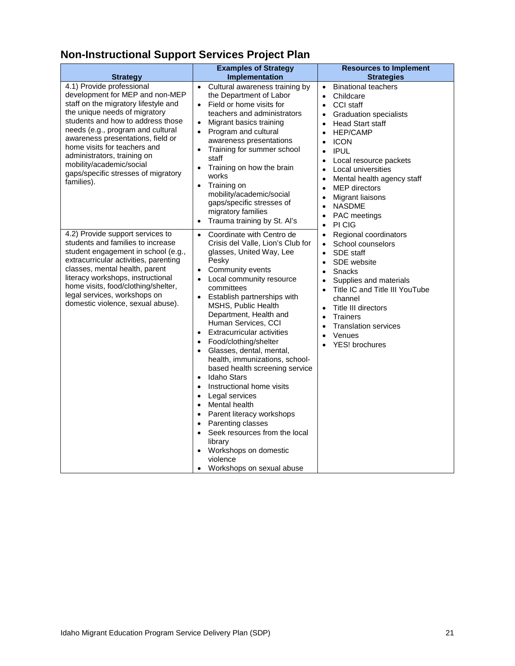# **Non-Instructional Support Services Project Plan**

| <b>Strategy</b>                                                                                                                                                                                                                                                                                                                                                                                      | <b>Examples of Strategy</b><br>Implementation                                                                                                                                                                                                                                                                                                                                                                                                                                                                                                                                                                                                                                                                                                                                                                                                                    | <b>Resources to Implement</b><br><b>Strategies</b>                                                                                                                                                                                                                                                                                                                                                                                                                                                              |
|------------------------------------------------------------------------------------------------------------------------------------------------------------------------------------------------------------------------------------------------------------------------------------------------------------------------------------------------------------------------------------------------------|------------------------------------------------------------------------------------------------------------------------------------------------------------------------------------------------------------------------------------------------------------------------------------------------------------------------------------------------------------------------------------------------------------------------------------------------------------------------------------------------------------------------------------------------------------------------------------------------------------------------------------------------------------------------------------------------------------------------------------------------------------------------------------------------------------------------------------------------------------------|-----------------------------------------------------------------------------------------------------------------------------------------------------------------------------------------------------------------------------------------------------------------------------------------------------------------------------------------------------------------------------------------------------------------------------------------------------------------------------------------------------------------|
| 4.1) Provide professional<br>development for MEP and non-MEP<br>staff on the migratory lifestyle and<br>the unique needs of migratory<br>students and how to address those<br>needs (e.g., program and cultural<br>awareness presentations, field or<br>home visits for teachers and<br>administrators, training on<br>mobility/academic/social<br>gaps/specific stresses of migratory<br>families). | Cultural awareness training by<br>$\bullet$<br>the Department of Labor<br>Field or home visits for<br>$\bullet$<br>teachers and administrators<br>Migrant basics training<br>$\bullet$<br>Program and cultural<br>$\bullet$<br>awareness presentations<br>Training for summer school<br>$\bullet$<br>staff<br>Training on how the brain<br>$\bullet$<br>works<br>Training on<br>$\bullet$<br>mobility/academic/social<br>gaps/specific stresses of<br>migratory families<br>Trauma training by St. Al's<br>$\bullet$                                                                                                                                                                                                                                                                                                                                             | <b>Binational teachers</b><br>$\bullet$<br>Childcare<br>$\bullet$<br>CCI staff<br><b>Graduation specialists</b><br>$\bullet$<br><b>Head Start staff</b><br>$\bullet$<br><b>HEP/CAMP</b><br><b>ICON</b><br>$\bullet$<br><b>IPUL</b><br>$\bullet$<br>Local resource packets<br>Local universities<br>$\bullet$<br>Mental health agency staff<br>$\bullet$<br><b>MEP</b> directors<br>$\bullet$<br>Migrant liaisons<br>$\bullet$<br><b>NASDME</b><br>$\bullet$<br>PAC meetings<br>$\bullet$<br>PI CIG<br>$\bullet$ |
| 4.2) Provide support services to<br>students and families to increase<br>student engagement in school (e.g.,<br>extracurricular activities, parenting<br>classes, mental health, parent<br>literacy workshops, instructional<br>home visits, food/clothing/shelter,<br>legal services, workshops on<br>domestic violence, sexual abuse).                                                             | Coordinate with Centro de<br>$\bullet$<br>Crisis del Valle, Lion's Club for<br>glasses, United Way, Lee<br>Pesky<br>Community events<br>$\bullet$<br>Local community resource<br>$\bullet$<br>committees<br>Establish partnerships with<br>$\bullet$<br>MSHS, Public Health<br>Department, Health and<br>Human Services, CCI<br><b>Extracurricular activities</b><br>$\bullet$<br>Food/clothing/shelter<br>• Glasses, dental, mental,<br>health, immunizations, school-<br>based health screening service<br>Idaho Stars<br>$\bullet$<br>Instructional home visits<br>$\bullet$<br>Legal services<br>$\bullet$<br>Mental health<br>$\bullet$<br>Parent literacy workshops<br>$\bullet$<br>Parenting classes<br>$\bullet$<br>Seek resources from the local<br>$\bullet$<br>library<br>Workshops on domestic<br>violence<br>Workshops on sexual abuse<br>$\bullet$ | Regional coordinators<br>$\bullet$<br>School counselors<br>$\bullet$<br>SDE staff<br>$\bullet$<br>SDE website<br>$\bullet$<br>Snacks<br>$\bullet$<br>Supplies and materials<br>$\bullet$<br>Title IC and Title III YouTube<br>$\bullet$<br>channel<br>Title III directors<br>$\bullet$<br><b>Trainers</b><br>$\bullet$<br><b>Translation services</b><br>$\bullet$<br>Venues<br>$\bullet$<br>YES! brochures                                                                                                     |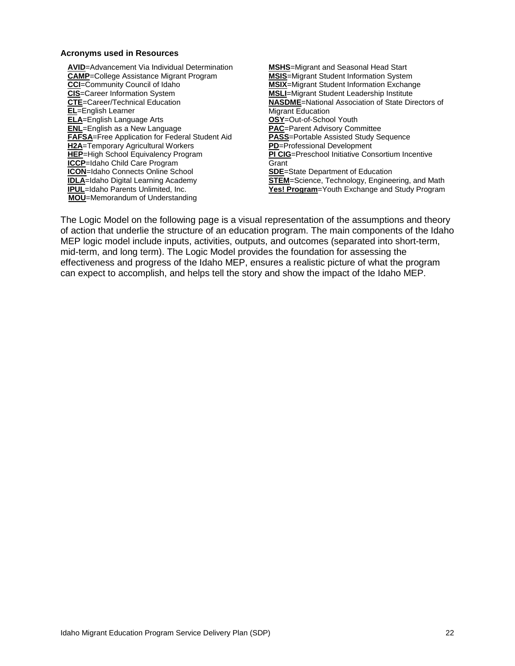#### **Acronyms used in Resources**

**AVID**=Advancement Via Individual Determination **CAMP**=College Assistance Migrant Program **CCI**=Community Council of Idaho **CIS**=Career Information System **CTE**=Career/Technical Education **EL**=English Learner **ELA**=English Language Arts **ENL**=English as a New Language **FAFSA**=Free Application for Federal Student Aid **H2A**=Temporary Agricultural Workers **HEP**=High School Equivalency Program **ICCP**=Idaho Child Care Program **ICON**=Idaho Connects Online School **IDLA**=Idaho Digital Learning Academy **IPUL**=Idaho Parents Unlimited, Inc. **MOU**=Memorandum of Understanding

**MSHS**=Migrant and Seasonal Head Start **MSIS**=Migrant Student Information System **MSIX**=Migrant Student Information Exchange **MSLI**=Migrant Student Leadership Institute **NASDME**=National Association of State Directors of Migrant Education **OSY**=Out-of-School Youth **PAC**=Parent Advisory Committee **PASS**=Portable Assisted Study Sequence **PD**=Professional Development **PI CIG**=Preschool Initiative Consortium Incentive **Grant SDE**=State Department of Education **STEM**=Science, Technology, Engineering, and Math **Yes! Program**=Youth Exchange and Study Program

The Logic Model on the following page is a visual representation of the assumptions and theory of action that underlie the structure of an education program. The main components of the Idaho MEP logic model include inputs, activities, outputs, and outcomes (separated into short-term, mid-term, and long term). The Logic Model provides the foundation for assessing the effectiveness and progress of the Idaho MEP, ensures a realistic picture of what the program can expect to accomplish, and helps tell the story and show the impact of the Idaho MEP.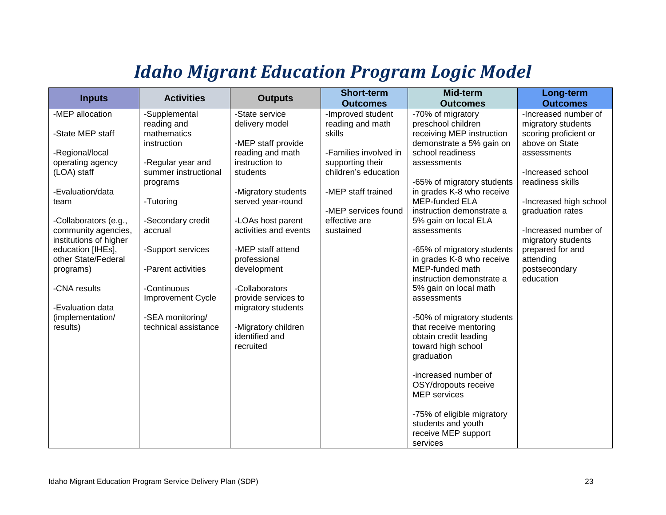# *Idaho Migrant Education Program Logic Model*

<span id="page-27-0"></span>

| <b>Inputs</b>          | <b>Activities</b>        | <b>Outputs</b>        | <b>Short-term</b><br><b>Outcomes</b> | Mid-term<br><b>Outcomes</b> | Long-term<br><b>Outcomes</b> |
|------------------------|--------------------------|-----------------------|--------------------------------------|-----------------------------|------------------------------|
| -MEP allocation        | -Supplemental            | -State service        | -Improved student                    | -70% of migratory           | -Increased number of         |
|                        | reading and              | delivery model        | reading and math                     | preschool children          | migratory students           |
| -State MEP staff       | mathematics              |                       | skills                               | receiving MEP instruction   | scoring proficient or        |
|                        | instruction              | -MEP staff provide    |                                      | demonstrate a 5% gain on    | above on State               |
| -Regional/local        |                          | reading and math      | -Families involved in                | school readiness            | assessments                  |
| operating agency       | -Regular year and        | instruction to        | supporting their                     | assessments                 |                              |
| (LOA) staff            | summer instructional     | students              | children's education                 |                             | -Increased school            |
|                        | programs                 |                       |                                      | -65% of migratory students  | readiness skills             |
| -Evaluation/data       |                          | -Migratory students   | -MEP staff trained                   | in grades K-8 who receive   |                              |
| team                   | -Tutoring                | served year-round     |                                      | <b>MEP-funded ELA</b>       | -Increased high school       |
|                        |                          |                       | -MEP services found                  | instruction demonstrate a   | graduation rates             |
| -Collaborators (e.g.,  | -Secondary credit        | -LOAs host parent     | effective are                        | 5% gain on local ELA        |                              |
| community agencies,    | accrual                  | activities and events | sustained                            | assessments                 | -Increased number of         |
| institutions of higher |                          |                       |                                      |                             | migratory students           |
| education [IHEs],      | -Support services        | -MEP staff attend     |                                      | -65% of migratory students  | prepared for and             |
| other State/Federal    |                          | professional          |                                      | in grades K-8 who receive   | attending                    |
| programs)              | -Parent activities       | development           |                                      | MEP-funded math             | postsecondary                |
|                        |                          |                       |                                      | instruction demonstrate a   | education                    |
| -CNA results           | -Continuous              | -Collaborators        |                                      | 5% gain on local math       |                              |
|                        | <b>Improvement Cycle</b> | provide services to   |                                      | assessments                 |                              |
| -Evaluation data       |                          | migratory students    |                                      |                             |                              |
| (implementation/       | -SEA monitoring/         |                       |                                      | -50% of migratory students  |                              |
| results)               | technical assistance     | -Migratory children   |                                      | that receive mentoring      |                              |
|                        |                          | identified and        |                                      | obtain credit leading       |                              |
|                        |                          | recruited             |                                      | toward high school          |                              |
|                        |                          |                       |                                      | graduation                  |                              |
|                        |                          |                       |                                      | -increased number of        |                              |
|                        |                          |                       |                                      | OSY/dropouts receive        |                              |
|                        |                          |                       |                                      | <b>MEP</b> services         |                              |
|                        |                          |                       |                                      |                             |                              |
|                        |                          |                       |                                      | -75% of eligible migratory  |                              |
|                        |                          |                       |                                      | students and youth          |                              |
|                        |                          |                       |                                      | receive MEP support         |                              |
|                        |                          |                       |                                      | services                    |                              |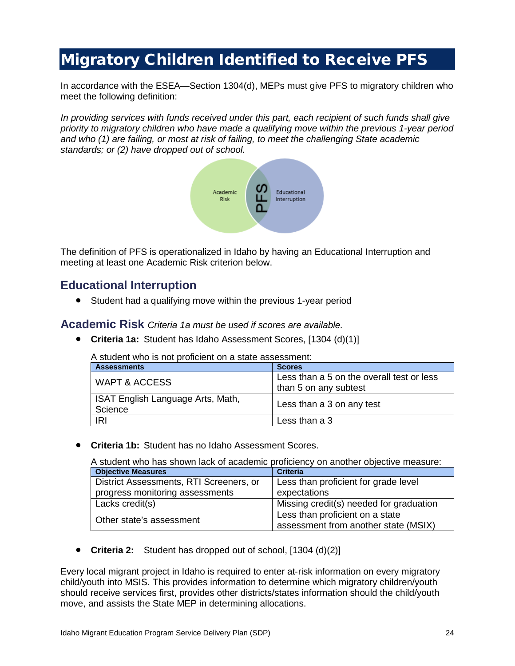# <span id="page-28-0"></span>Migratory Children Identified to Receive PFS

In accordance with the ESEA—Section 1304(d), MEPs must give PFS to migratory children who meet the following definition:

*In providing services with funds received under this part, each recipient of such funds shall give priority to migratory children who have made a qualifying move within the previous 1-year period and who (1) are failing, or most at risk of failing, to meet the challenging State academic standards; or (2) have dropped out of school.*



The definition of PFS is operationalized in Idaho by having an Educational Interruption and meeting at least one Academic Risk criterion below.

### **Educational Interruption**

• Student had a qualifying move within the previous 1-year period

**Academic Risk** *Criteria 1a must be used if scores are available.*

• **Criteria 1a:** Student has Idaho Assessment Scores, [1304 (d)(1)]

A student who is not proficient on a state assessment:

| <b>Assessments</b>                           | <b>Scores</b>                                                      |
|----------------------------------------------|--------------------------------------------------------------------|
| WAPT & ACCESS                                | Less than a 5 on the overall test or less<br>than 5 on any subtest |
| ISAT English Language Arts, Math,<br>Science | Less than a 3 on any test                                          |
| IRI                                          | Less than a 3                                                      |

• **Criteria 1b:** Student has no Idaho Assessment Scores.

A student who has shown lack of academic proficiency on another objective measure:

| <b>Objective Measures</b>               | <b>Criteria</b>                         |  |
|-----------------------------------------|-----------------------------------------|--|
| District Assessments, RTI Screeners, or | Less than proficient for grade level    |  |
| progress monitoring assessments         | expectations                            |  |
| Lacks credit(s)                         | Missing credit(s) needed for graduation |  |
| Other state's assessment                | Less than proficient on a state         |  |
|                                         | assessment from another state (MSIX)    |  |

• **Criteria 2:** Student has dropped out of school, [1304 (d)(2)]

Every local migrant project in Idaho is required to enter at-risk information on every migratory child/youth into MSIS. This provides information to determine which migratory children/youth should receive services first, provides other districts/states information should the child/youth move, and assists the State MEP in determining allocations.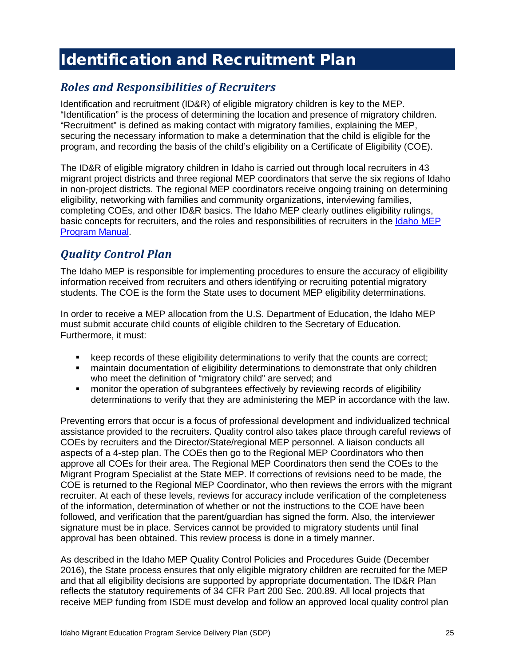# <span id="page-29-0"></span>Identification and Recruitment Plan

### <span id="page-29-1"></span>*Roles and Responsibilities of Recruiters*

Identification and recruitment (ID&R) of eligible migratory children is key to the MEP. "Identification" is the process of determining the location and presence of migratory children. "Recruitment" is defined as making contact with migratory families, explaining the MEP, securing the necessary information to make a determination that the child is eligible for the program, and recording the basis of the child's eligibility on a Certificate of Eligibility (COE).

The ID&R of eligible migratory children in Idaho is carried out through local recruiters in 43 migrant project districts and three regional MEP coordinators that serve the six regions of Idaho in non-project districts. The regional MEP coordinators receive ongoing training on determining eligibility, networking with families and community organizations, interviewing families, completing COEs, and other ID&R basics. The Idaho MEP clearly outlines eligibility rulings, basic concepts for recruiters, and the roles and responsibilities of recruiters in the [Idaho MEP](http://www.sde.idaho.gov/el-migrant/migrant/files/general/program-information/Idaho-Migrant-Program-Manual.pdf)  [Program Manual.](http://www.sde.idaho.gov/el-migrant/migrant/files/general/program-information/Idaho-Migrant-Program-Manual.pdf)

### <span id="page-29-2"></span>*Quality Control Plan*

The Idaho MEP is responsible for implementing procedures to ensure the accuracy of eligibility information received from recruiters and others identifying or recruiting potential migratory students. The COE is the form the State uses to document MEP eligibility determinations.

In order to receive a MEP allocation from the U.S. Department of Education, the Idaho MEP must submit accurate child counts of eligible children to the Secretary of Education. Furthermore, it must:

- keep records of these eligibility determinations to verify that the counts are correct;
- maintain documentation of eligibility determinations to demonstrate that only children who meet the definition of "migratory child" are served; and
- monitor the operation of subgrantees effectively by reviewing records of eligibility determinations to verify that they are administering the MEP in accordance with the law.

Preventing errors that occur is a focus of professional development and individualized technical assistance provided to the recruiters. Quality control also takes place through careful reviews of COEs by recruiters and the Director/State/regional MEP personnel. A liaison conducts all aspects of a 4-step plan. The COEs then go to the Regional MEP Coordinators who then approve all COEs for their area. The Regional MEP Coordinators then send the COEs to the Migrant Program Specialist at the State MEP. If corrections of revisions need to be made, the COE is returned to the Regional MEP Coordinator, who then reviews the errors with the migrant recruiter. At each of these levels, reviews for accuracy include verification of the completeness of the information, determination of whether or not the instructions to the COE have been followed, and verification that the parent/guardian has signed the form. Also, the interviewer signature must be in place. Services cannot be provided to migratory students until final approval has been obtained. This review process is done in a timely manner.

As described in the Idaho MEP Quality Control Policies and Procedures Guide (December 2016), the State process ensures that only eligible migratory children are recruited for the MEP and that all eligibility decisions are supported by appropriate documentation. The ID&R Plan reflects the statutory requirements of 34 CFR Part 200 Sec. 200.89. All local projects that receive MEP funding from ISDE must develop and follow an approved local quality control plan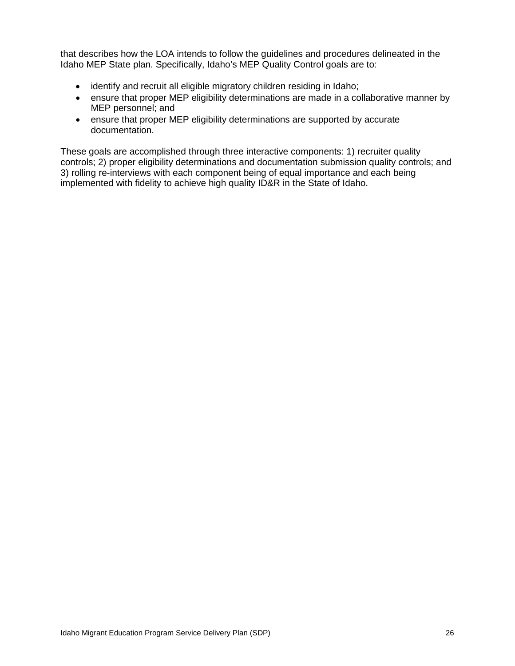that describes how the LOA intends to follow the guidelines and procedures delineated in the Idaho MEP State plan. Specifically, Idaho's MEP Quality Control goals are to:

- identify and recruit all eligible migratory children residing in Idaho;
- ensure that proper MEP eligibility determinations are made in a collaborative manner by MEP personnel; and
- ensure that proper MEP eligibility determinations are supported by accurate documentation.

These goals are accomplished through three interactive components: 1) recruiter quality controls; 2) proper eligibility determinations and documentation submission quality controls; and 3) rolling re-interviews with each component being of equal importance and each being implemented with fidelity to achieve high quality ID&R in the State of Idaho.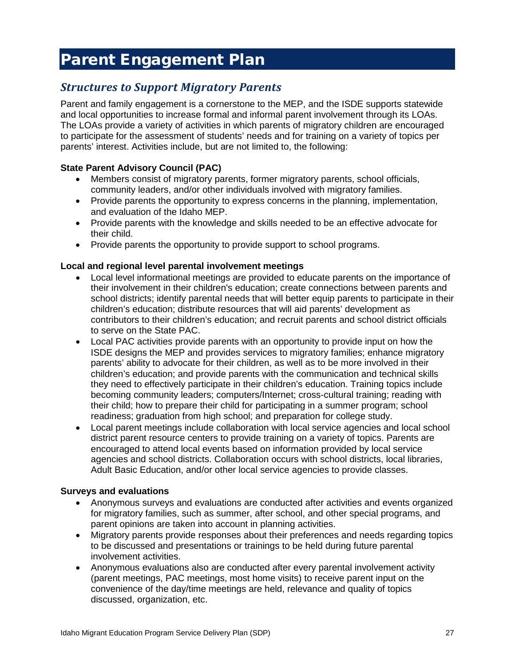# <span id="page-31-0"></span>Parent Engagement Plan

### <span id="page-31-1"></span>*Structures to Support Migratory Parents*

Parent and family engagement is a cornerstone to the MEP, and the ISDE supports statewide and local opportunities to increase formal and informal parent involvement through its LOAs. The LOAs provide a variety of activities in which parents of migratory children are encouraged to participate for the assessment of students' needs and for training on a variety of topics per parents' interest. Activities include, but are not limited to, the following:

#### **State Parent Advisory Council (PAC)**

- Members consist of migratory parents, former migratory parents, school officials, community leaders, and/or other individuals involved with migratory families.
- Provide parents the opportunity to express concerns in the planning, implementation, and evaluation of the Idaho MEP.
- Provide parents with the knowledge and skills needed to be an effective advocate for their child.
- Provide parents the opportunity to provide support to school programs.

#### **Local and regional level parental involvement meetings**

- Local level informational meetings are provided to educate parents on the importance of their involvement in their children's education; create connections between parents and school districts; identify parental needs that will better equip parents to participate in their children's education; distribute resources that will aid parents' development as contributors to their children's education; and recruit parents and school district officials to serve on the State PAC.
- Local PAC activities provide parents with an opportunity to provide input on how the ISDE designs the MEP and provides services to migratory families; enhance migratory parents' ability to advocate for their children, as well as to be more involved in their children's education; and provide parents with the communication and technical skills they need to effectively participate in their children's education. Training topics include becoming community leaders; computers/Internet; cross-cultural training; reading with their child; how to prepare their child for participating in a summer program; school readiness; graduation from high school; and preparation for college study.
- Local parent meetings include collaboration with local service agencies and local school district parent resource centers to provide training on a variety of topics. Parents are encouraged to attend local events based on information provided by local service agencies and school districts. Collaboration occurs with school districts, local libraries, Adult Basic Education, and/or other local service agencies to provide classes.

#### **Surveys and evaluations**

- Anonymous surveys and evaluations are conducted after activities and events organized for migratory families, such as summer, after school, and other special programs, and parent opinions are taken into account in planning activities.
- Migratory parents provide responses about their preferences and needs regarding topics to be discussed and presentations or trainings to be held during future parental involvement activities.
- Anonymous evaluations also are conducted after every parental involvement activity (parent meetings, PAC meetings, most home visits) to receive parent input on the convenience of the day/time meetings are held, relevance and quality of topics discussed, organization, etc.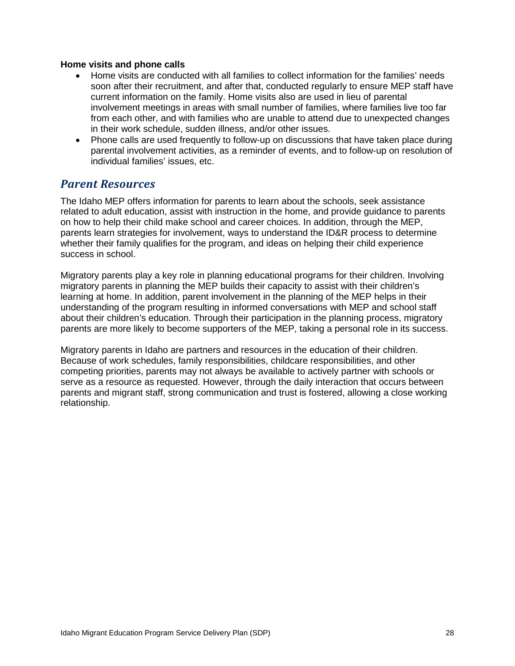#### **Home visits and phone calls**

- Home visits are conducted with all families to collect information for the families' needs soon after their recruitment, and after that, conducted regularly to ensure MEP staff have current information on the family. Home visits also are used in lieu of parental involvement meetings in areas with small number of families, where families live too far from each other, and with families who are unable to attend due to unexpected changes in their work schedule, sudden illness, and/or other issues.
- Phone calls are used frequently to follow-up on discussions that have taken place during parental involvement activities, as a reminder of events, and to follow-up on resolution of individual families' issues, etc.

#### <span id="page-32-0"></span>*Parent Resources*

The Idaho MEP offers information for parents to learn about the schools, seek assistance related to adult education, assist with instruction in the home, and provide guidance to parents on how to help their child make school and career choices. In addition, through the MEP, parents learn strategies for involvement, ways to understand the ID&R process to determine whether their family qualifies for the program, and ideas on helping their child experience success in school.

Migratory parents play a key role in planning educational programs for their children. Involving migratory parents in planning the MEP builds their capacity to assist with their children's learning at home. In addition, parent involvement in the planning of the MEP helps in their understanding of the program resulting in informed conversations with MEP and school staff about their children's education. Through their participation in the planning process, migratory parents are more likely to become supporters of the MEP, taking a personal role in its success.

Migratory parents in Idaho are partners and resources in the education of their children. Because of work schedules, family responsibilities, childcare responsibilities, and other competing priorities, parents may not always be available to actively partner with schools or serve as a resource as requested. However, through the daily interaction that occurs between parents and migrant staff, strong communication and trust is fostered, allowing a close working relationship.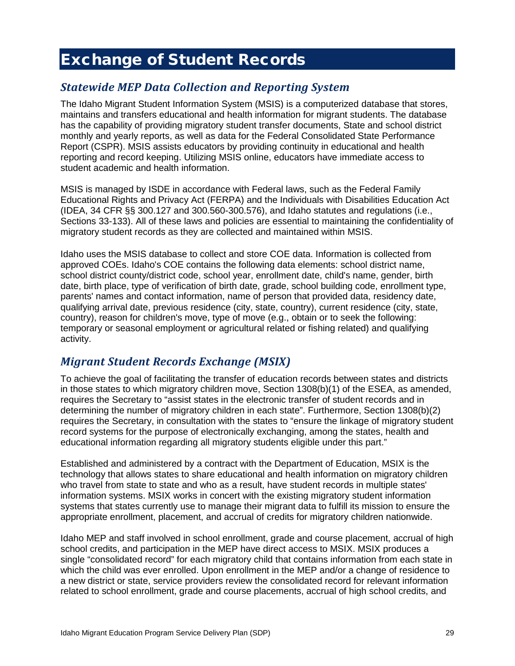# <span id="page-33-0"></span>Exchange of Student Records

### <span id="page-33-1"></span>*Statewide MEP Data Collection and Reporting System*

The Idaho Migrant Student Information System (MSIS) is a computerized database that stores, maintains and transfers educational and health information for migrant students. The database has the capability of providing migratory student transfer documents, State and school district monthly and yearly reports, as well as data for the Federal Consolidated State Performance Report (CSPR). MSIS assists educators by providing continuity in educational and health reporting and record keeping. Utilizing MSIS online, educators have immediate access to student academic and health information.

MSIS is managed by ISDE in accordance with Federal laws, such as the Federal Family Educational Rights and Privacy Act (FERPA) and the Individuals with Disabilities Education Act (IDEA, 34 CFR §§ 300.127 and 300.560-300.576), and Idaho statutes and regulations (i.e., Sections 33-133). All of these laws and policies are essential to maintaining the confidentiality of migratory student records as they are collected and maintained within MSIS.

Idaho uses the MSIS database to collect and store COE data. Information is collected from approved COEs. Idaho's COE contains the following data elements: school district name, school district county/district code, school year, enrollment date, child's name, gender, birth date, birth place, type of verification of birth date, grade, school building code, enrollment type, parents' names and contact information, name of person that provided data, residency date, qualifying arrival date, previous residence (city, state, country), current residence (city, state, country), reason for children's move, type of move (e.g., obtain or to seek the following: temporary or seasonal employment or agricultural related or fishing related) and qualifying activity.

### <span id="page-33-2"></span>*Migrant Student Records Exchange (MSIX)*

To achieve the goal of facilitating the transfer of education records between states and districts in those states to which migratory children move, Section 1308(b)(1) of the ESEA, as amended, requires the Secretary to "assist states in the electronic transfer of student records and in determining the number of migratory children in each state". Furthermore, Section 1308(b)(2) requires the Secretary, in consultation with the states to "ensure the linkage of migratory student record systems for the purpose of electronically exchanging, among the states, health and educational information regarding all migratory students eligible under this part."

Established and administered by a contract with the Department of Education, MSIX is the technology that allows states to share educational and health information on migratory children who travel from state to state and who as a result, have student records in multiple states' information systems. MSIX works in concert with the existing migratory student information systems that states currently use to manage their migrant data to fulfill its mission to ensure the appropriate enrollment, placement, and accrual of credits for migratory children nationwide.

Idaho MEP and staff involved in school enrollment, grade and course placement, accrual of high school credits, and participation in the MEP have direct access to MSIX. MSIX produces a single "consolidated record" for each migratory child that contains information from each state in which the child was ever enrolled. Upon enrollment in the MEP and/or a change of residence to a new district or state, service providers review the consolidated record for relevant information related to school enrollment, grade and course placements, accrual of high school credits, and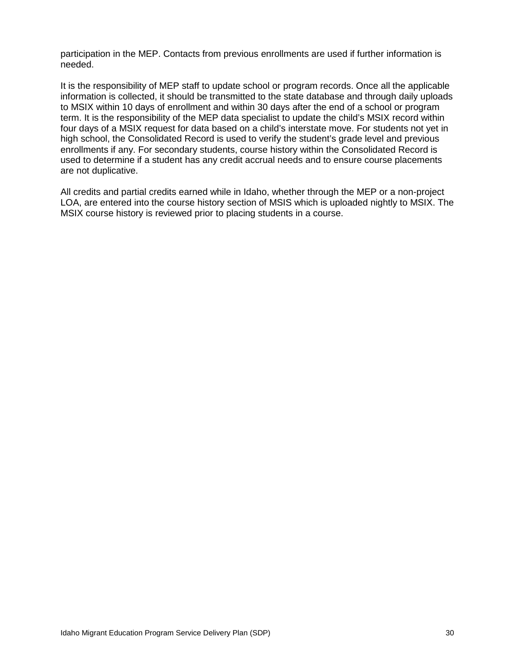participation in the MEP. Contacts from previous enrollments are used if further information is needed.

It is the responsibility of MEP staff to update school or program records. Once all the applicable information is collected, it should be transmitted to the state database and through daily uploads to MSIX within 10 days of enrollment and within 30 days after the end of a school or program term. It is the responsibility of the MEP data specialist to update the child's MSIX record within four days of a MSIX request for data based on a child's interstate move. For students not yet in high school, the Consolidated Record is used to verify the student's grade level and previous enrollments if any. For secondary students, course history within the Consolidated Record is used to determine if a student has any credit accrual needs and to ensure course placements are not duplicative.

All credits and partial credits earned while in Idaho, whether through the MEP or a non-project LOA, are entered into the course history section of MSIS which is uploaded nightly to MSIX. The MSIX course history is reviewed prior to placing students in a course.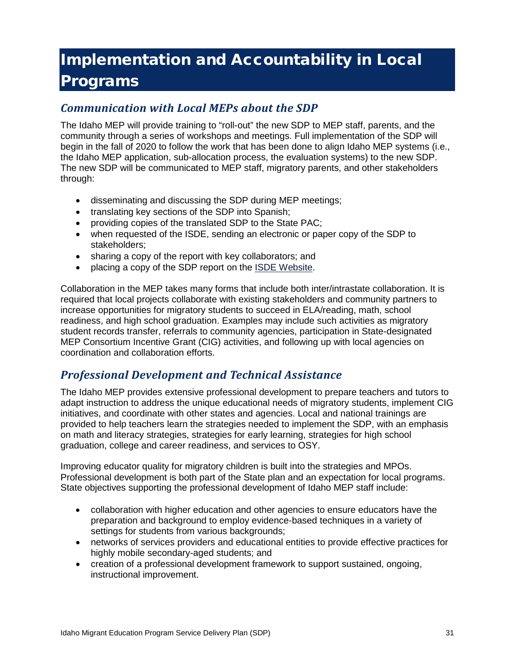# <span id="page-35-0"></span>Implementation and Accountability in Local Programs

### <span id="page-35-1"></span>*Communication with Local MEPs about the SDP*

The Idaho MEP will provide training to "roll-out" the new SDP to MEP staff, parents, and the community through a series of workshops and meetings. Full implementation of the SDP will begin in the fall of 2020 to follow the work that has been done to align Idaho MEP systems (i.e., the Idaho MEP application, sub-allocation process, the evaluation systems) to the new SDP. The new SDP will be communicated to MEP staff, migratory parents, and other stakeholders through:

- disseminating and discussing the SDP during MEP meetings;
- translating key sections of the SDP into Spanish;
- providing copies of the translated SDP to the State PAC;
- when requested of the ISDE, sending an electronic or paper copy of the SDP to stakeholders;
- sharing a copy of the report with key collaborators; and
- placing a copy of the SDP report on the ISDE [Website.](http://www.sde.idaho.gov/)

Collaboration in the MEP takes many forms that include both inter/intrastate collaboration. It is required that local projects collaborate with existing stakeholders and community partners to increase opportunities for migratory students to succeed in ELA/reading, math, school readiness, and high school graduation. Examples may include such activities as migratory student records transfer, referrals to community agencies, participation in State-designated MEP Consortium Incentive Grant (CIG) activities, and following up with local agencies on coordination and collaboration efforts.

### <span id="page-35-2"></span>*Professional Development and Technical Assistance*

The Idaho MEP provides extensive professional development to prepare teachers and tutors to adapt instruction to address the unique educational needs of migratory students, implement CIG initiatives, and coordinate with other states and agencies. Local and national trainings are provided to help teachers learn the strategies needed to implement the SDP, with an emphasis on math and literacy strategies, strategies for early learning, strategies for high school graduation, college and career readiness, and services to OSY.

Improving educator quality for migratory children is built into the strategies and MPOs. Professional development is both part of the State plan and an expectation for local programs. State objectives supporting the professional development of Idaho MEP staff include:

- collaboration with higher education and other agencies to ensure educators have the preparation and background to employ evidence-based techniques in a variety of settings for students from various backgrounds;
- networks of services providers and educational entities to provide effective practices for highly mobile secondary-aged students; and
- creation of a professional development framework to support sustained, ongoing, instructional improvement.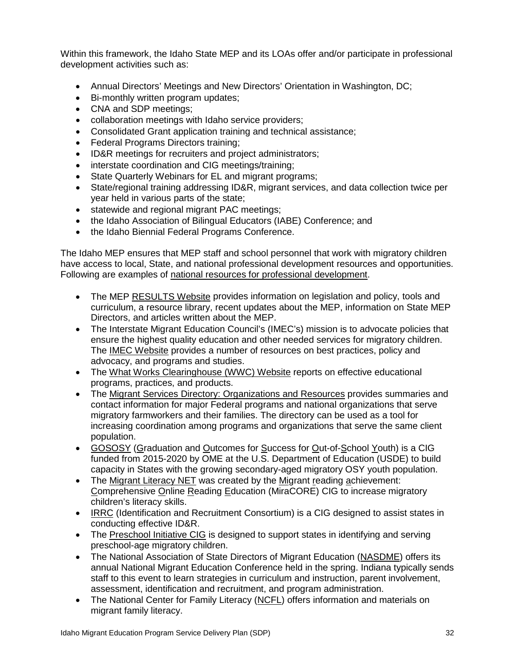Within this framework, the Idaho State MEP and its LOAs offer and/or participate in professional development activities such as:

- Annual Directors' Meetings and New Directors' Orientation in Washington, DC;
- Bi-monthly written program updates;
- CNA and SDP meetings;
- collaboration meetings with Idaho service providers;
- Consolidated Grant application training and technical assistance;
- Federal Programs Directors training;
- ID&R meetings for recruiters and project administrators;
- interstate coordination and CIG meetings/training;
- State Quarterly Webinars for EL and migrant programs:
- State/regional training addressing ID&R, migrant services, and data collection twice per year held in various parts of the state;
- statewide and regional migrant PAC meetings;
- the Idaho Association of Bilingual Educators (IABE) Conference; and
- the Idaho Biennial Federal Programs Conference.

The Idaho MEP ensures that MEP staff and school personnel that work with migratory children have access to local, State, and national professional development resources and opportunities. Following are examples of national resources for professional development.

- The MEP [RESULTS Website](https://results.ed.gov/) provides information on legislation and policy, tools and curriculum, a resource library, recent updates about the MEP, information on State MEP Directors, and articles written about the MEP.
- The Interstate Migrant Education Council's (IMEC's) mission is to advocate policies that ensure the highest quality education and other needed services for migratory children. The [IMEC Website](http://imec-migranted.org/) provides a number of resources on best practices, policy and advocacy, and programs and studies.
- The [What Works Clearinghouse \(WWC\) Website](https://ies.ed.gov/ncee/wwc/) reports on effective educational programs, practices, and products.
- The [Migrant Services Directory: Organizations and Resources](http://www.ed.gov/about/offices/list/oese/ome/migrantdirectory.pdf) provides summaries and contact information for major Federal programs and national organizations that serve migratory farmworkers and their families. The directory can be used as a tool for increasing coordination among programs and organizations that serve the same client population.
- [GOSOSY](https://www.osymigrant.org/) (Graduation and Outcomes for Success for Out-of-School Youth) is a CIG funded from 2015-2020 by OME at the U.S. Department of Education (USDE) to build capacity in States with the growing secondary-aged migratory OSY youth population.
- The [Migrant Literacy NET](https://www.migrantliteracynet.com/) was created by the Migrant reading achievement: Comprehensive Online Reading Education (MiraCORE) CIG to increase migratory children's literacy skills.
- [IRRC](http://www.idr-consortium.net/) (Identification and Recruitment Consortium) is a CIG designed to assist states in conducting effective ID&R.
- The [Preschool Initiative CIG](http://www.preschoolinitiative.org/) is designed to support states in identifying and serving preschool-age migratory children.
- The National Association of State Directors of Migrant Education [\(NASDME\)](http://www.nasdme.org/) offers its annual National Migrant Education Conference held in the spring. Indiana typically sends staff to this event to learn strategies in curriculum and instruction, parent involvement, assessment, identification and recruitment, and program administration.
- The National Center for Family Literacy [\(NCFL\)](http://www.ncfl.org/) offers information and materials on migrant family literacy.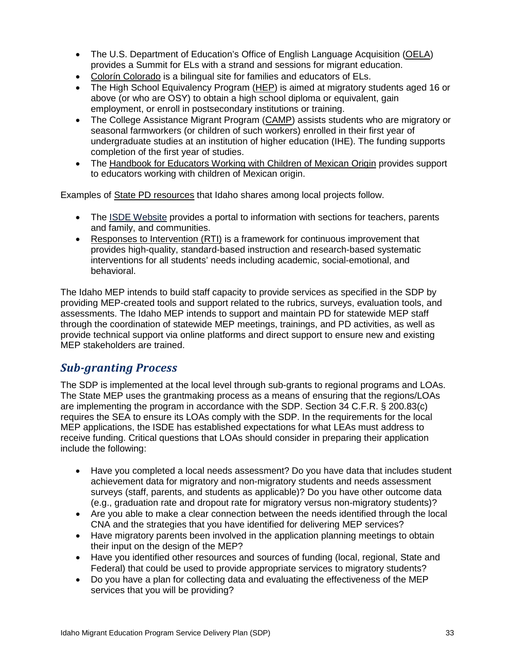- The U.S. Department of Education's Office of English Language Acquisition [\(OELA\)](http://www2.ed.gov/about/offices/list/oela/index.html) provides a Summit for ELs with a strand and sessions for migrant education.
- [Colorín Colorado](http://www.colorincolorado.org/) is a bilingual site for families and educators of ELs.
- The High School Equivalency Program [\(HEP\)](http://www.ed.gov/programs/hep/index.html) is aimed at migratory students aged 16 or above (or who are OSY) to obtain a high school diploma or equivalent, gain employment, or enroll in postsecondary institutions or training.
- The College Assistance Migrant Program [\(CAMP\)](https://www2.ed.gov/programs/camp/index.html) assists students who are migratory or seasonal farmworkers (or children of such workers) enrolled in their first year of undergraduate studies at an institution of higher education (IHE). The funding supports completion of the first year of studies.
- The [Handbook for Educators Working with Children of Mexican Origin](http://people.uncw.edu/martinezm/Handbook/html/index.htm) provides support to educators working with children of Mexican origin.

Examples of State PD resources that Idaho shares among local projects follow.

- The ISDE [Website](http://www.sde.idaho.gov/) provides a portal to information with sections for teachers, parents and family, and communities.
- [Responses to Intervention \(RTI\)](http://www.sde.idaho.gov/topics/rti/) is a framework for continuous improvement that provides high-quality, standard-based instruction and research-based systematic interventions for all students' needs including academic, social-emotional, and behavioral.

The Idaho MEP intends to build staff capacity to provide services as specified in the SDP by providing MEP-created tools and support related to the rubrics, surveys, evaluation tools, and assessments. The Idaho MEP intends to support and maintain PD for statewide MEP staff through the coordination of statewide MEP meetings, trainings, and PD activities, as well as provide technical support via online platforms and direct support to ensure new and existing MEP stakeholders are trained.

### <span id="page-37-0"></span>*Sub-granting Process*

The SDP is implemented at the local level through sub-grants to regional programs and LOAs. The State MEP uses the grantmaking process as a means of ensuring that the regions/LOAs are implementing the program in accordance with the SDP. Section 34 C.F.R. § 200.83(c) requires the SEA to ensure its LOAs comply with the SDP. In the requirements for the local MEP applications, the ISDE has established expectations for what LEAs must address to receive funding. Critical questions that LOAs should consider in preparing their application include the following:

- Have you completed a local needs assessment? Do you have data that includes student achievement data for migratory and non-migratory students and needs assessment surveys (staff, parents, and students as applicable)? Do you have other outcome data (e.g., graduation rate and dropout rate for migratory versus non-migratory students)?
- Are you able to make a clear connection between the needs identified through the local CNA and the strategies that you have identified for delivering MEP services?
- Have migratory parents been involved in the application planning meetings to obtain their input on the design of the MEP?
- Have you identified other resources and sources of funding (local, regional, State and Federal) that could be used to provide appropriate services to migratory students?
- Do you have a plan for collecting data and evaluating the effectiveness of the MEP services that you will be providing?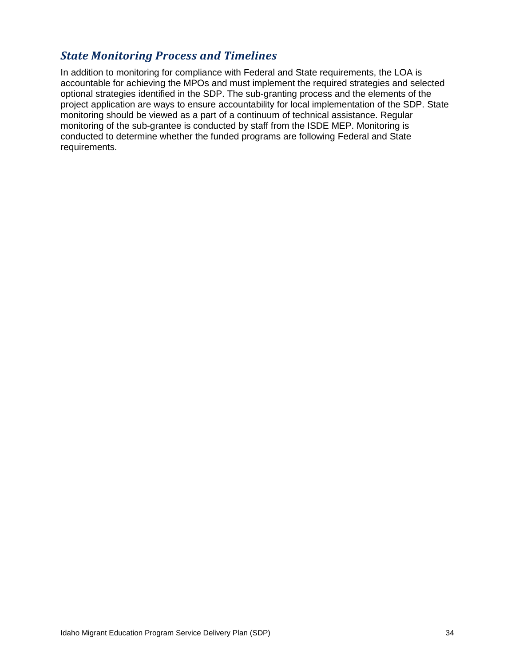### <span id="page-38-0"></span>*State Monitoring Process and Timelines*

In addition to monitoring for compliance with Federal and State requirements, the LOA is accountable for achieving the MPOs and must implement the required strategies and selected optional strategies identified in the SDP. The sub-granting process and the elements of the project application are ways to ensure accountability for local implementation of the SDP. State monitoring should be viewed as a part of a continuum of technical assistance. Regular monitoring of the sub-grantee is conducted by staff from the ISDE MEP. Monitoring is conducted to determine whether the funded programs are following Federal and State requirements.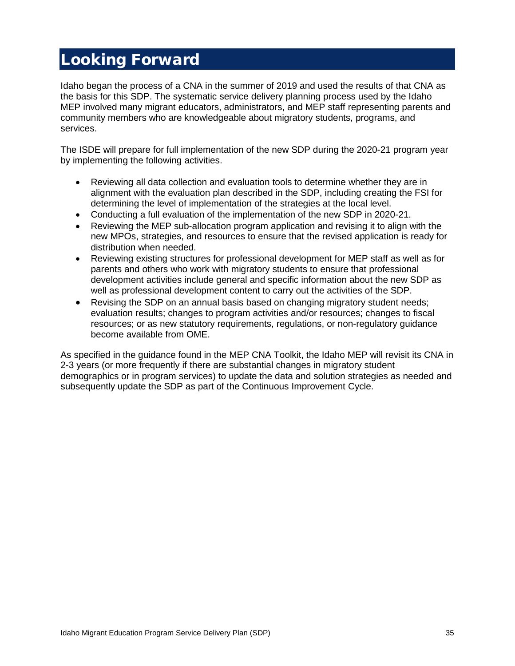# <span id="page-39-0"></span>Looking Forward

Idaho began the process of a CNA in the summer of 2019 and used the results of that CNA as the basis for this SDP. The systematic service delivery planning process used by the Idaho MEP involved many migrant educators, administrators, and MEP staff representing parents and community members who are knowledgeable about migratory students, programs, and services.

The ISDE will prepare for full implementation of the new SDP during the 2020-21 program year by implementing the following activities.

- Reviewing all data collection and evaluation tools to determine whether they are in alignment with the evaluation plan described in the SDP, including creating the FSI for determining the level of implementation of the strategies at the local level.
- Conducting a full evaluation of the implementation of the new SDP in 2020-21.
- Reviewing the MEP sub-allocation program application and revising it to align with the new MPOs, strategies, and resources to ensure that the revised application is ready for distribution when needed.
- Reviewing existing structures for professional development for MEP staff as well as for parents and others who work with migratory students to ensure that professional development activities include general and specific information about the new SDP as well as professional development content to carry out the activities of the SDP.
- Revising the SDP on an annual basis based on changing migratory student needs; evaluation results; changes to program activities and/or resources; changes to fiscal resources; or as new statutory requirements, regulations, or non-regulatory guidance become available from OME.

As specified in the guidance found in the MEP CNA Toolkit, the Idaho MEP will revisit its CNA in 2-3 years (or more frequently if there are substantial changes in migratory student demographics or in program services) to update the data and solution strategies as needed and subsequently update the SDP as part of the Continuous Improvement Cycle.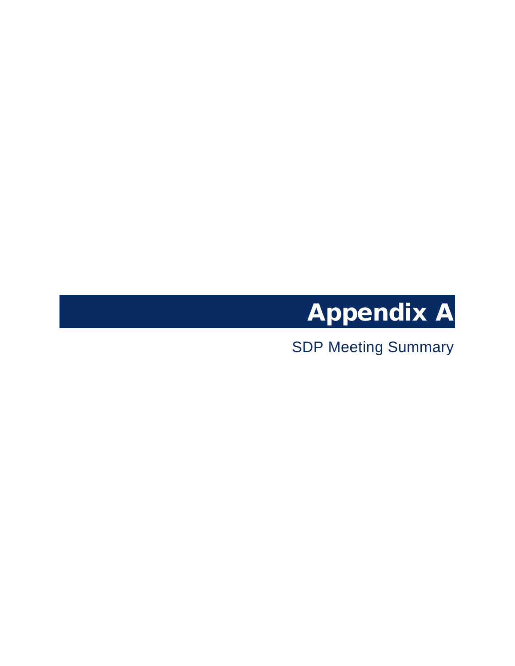

<span id="page-40-1"></span><span id="page-40-0"></span>SDP Meeting Summary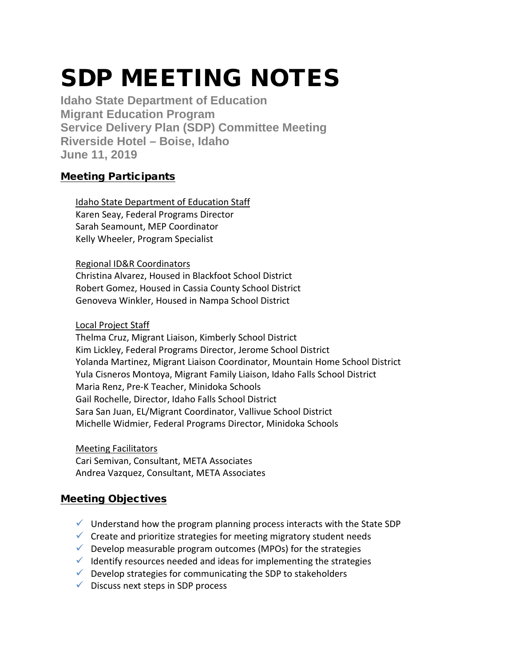# SDP MEETING NOTES

**Idaho State Department of Education Migrant Education Program Service Delivery Plan (SDP) Committee Meeting Riverside Hotel – Boise, Idaho June 11, 2019**

### Meeting Participants

Idaho State Department of Education Staff Karen Seay, Federal Programs Director Sarah Seamount, MEP Coordinator Kelly Wheeler, Program Specialist

#### Regional ID&R Coordinators

Christina Alvarez, Housed in Blackfoot School District Robert Gomez, Housed in Cassia County School District Genoveva Winkler, Housed in Nampa School District

#### Local Project Staff

Thelma Cruz, Migrant Liaison, Kimberly School District Kim Lickley, Federal Programs Director, Jerome School District Yolanda Martinez, Migrant Liaison Coordinator, Mountain Home School District Yula Cisneros Montoya, Migrant Family Liaison, Idaho Falls School District Maria Renz, Pre-K Teacher, Minidoka Schools Gail Rochelle, Director, Idaho Falls School District Sara San Juan, EL/Migrant Coordinator, Vallivue School District Michelle Widmier, Federal Programs Director, Minidoka Schools

#### Meeting Facilitators

Cari Semivan, Consultant, META Associates Andrea Vazquez, Consultant, META Associates

### Meeting Objectives

- $\checkmark$  Understand how the program planning process interacts with the State SDP
- $\checkmark$  Create and prioritize strategies for meeting migratory student needs
- $\checkmark$  Develop measurable program outcomes (MPOs) for the strategies
- $\checkmark$  Identify resources needed and ideas for implementing the strategies
- $\checkmark$  Develop strategies for communicating the SDP to stakeholders
- $\checkmark$  Discuss next steps in SDP process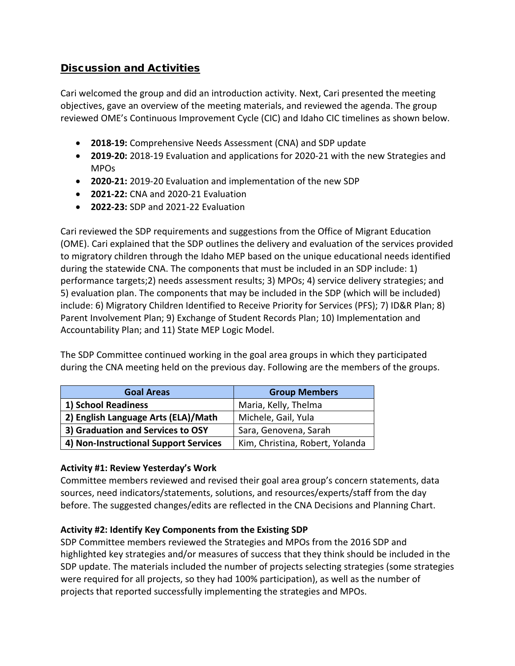### Discussion and Activities

Cari welcomed the group and did an introduction activity. Next, Cari presented the meeting objectives, gave an overview of the meeting materials, and reviewed the agenda. The group reviewed OME's Continuous Improvement Cycle (CIC) and Idaho CIC timelines as shown below.

- **2018-19:** Comprehensive Needs Assessment (CNA) and SDP update
- **2019-20:** 2018-19 Evaluation and applications for 2020-21 with the new Strategies and MPOs
- **2020-21:** 2019-20 Evaluation and implementation of the new SDP
- **2021-22:** CNA and 2020-21 Evaluation
- **2022-23:** SDP and 2021-22 Evaluation

Cari reviewed the SDP requirements and suggestions from the Office of Migrant Education (OME). Cari explained that the SDP outlines the delivery and evaluation of the services provided to migratory children through the Idaho MEP based on the unique educational needs identified during the statewide CNA. The components that must be included in an SDP include: 1) performance targets;2) needs assessment results; 3) MPOs; 4) service delivery strategies; and 5) evaluation plan. The components that may be included in the SDP (which will be included) include: 6) Migratory Children Identified to Receive Priority for Services (PFS); 7) ID&R Plan; 8) Parent Involvement Plan; 9) Exchange of Student Records Plan; 10) Implementation and Accountability Plan; and 11) State MEP Logic Model.

The SDP Committee continued working in the goal area groups in which they participated during the CNA meeting held on the previous day. Following are the members of the groups.

| <b>Goal Areas</b>                     | <b>Group Members</b>            |  |
|---------------------------------------|---------------------------------|--|
| 1) School Readiness                   | Maria, Kelly, Thelma            |  |
| 2) English Language Arts (ELA)/Math   | Michele, Gail, Yula             |  |
| 3) Graduation and Services to OSY     | Sara, Genovena, Sarah           |  |
| 4) Non-Instructional Support Services | Kim, Christina, Robert, Yolanda |  |

#### **Activity #1: Review Yesterday's Work**

Committee members reviewed and revised their goal area group's concern statements, data sources, need indicators/statements, solutions, and resources/experts/staff from the day before. The suggested changes/edits are reflected in the CNA Decisions and Planning Chart.

#### **Activity #2: Identify Key Components from the Existing SDP**

SDP Committee members reviewed the Strategies and MPOs from the 2016 SDP and highlighted key strategies and/or measures of success that they think should be included in the SDP update. The materials included the number of projects selecting strategies (some strategies were required for all projects, so they had 100% participation), as well as the number of projects that reported successfully implementing the strategies and MPOs.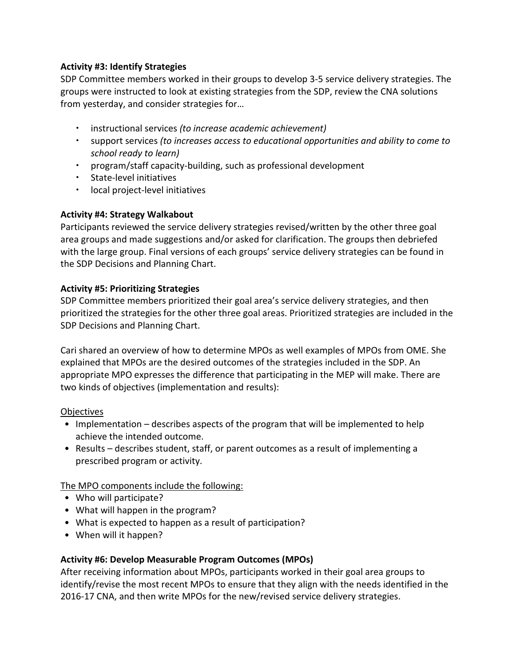#### **Activity #3: Identify Strategies**

SDP Committee members worked in their groups to develop 3-5 service delivery strategies. The groups were instructed to look at existing strategies from the SDP, review the CNA solutions from yesterday, and consider strategies for…

- instructional services *(to increase academic achievement)*
- support services *(to increases access to educational opportunities and ability to come to school ready to learn)*
- program/staff capacity-building, such as professional development
- **•** State-level initiatives
- local project-level initiatives

#### **Activity #4: Strategy Walkabout**

Participants reviewed the service delivery strategies revised/written by the other three goal area groups and made suggestions and/or asked for clarification. The groups then debriefed with the large group. Final versions of each groups' service delivery strategies can be found in the SDP Decisions and Planning Chart.

#### **Activity #5: Prioritizing Strategies**

SDP Committee members prioritized their goal area's service delivery strategies, and then prioritized the strategies for the other three goal areas. Prioritized strategies are included in the SDP Decisions and Planning Chart.

Cari shared an overview of how to determine MPOs as well examples of MPOs from OME. She explained that MPOs are the desired outcomes of the strategies included in the SDP. An appropriate MPO expresses the difference that participating in the MEP will make. There are two kinds of objectives (implementation and results):

#### **Objectives**

- Implementation describes aspects of the program that will be implemented to help achieve the intended outcome.
- Results describes student, staff, or parent outcomes as a result of implementing a prescribed program or activity.

The MPO components include the following:

- Who will participate?
- What will happen in the program?
- What is expected to happen as a result of participation?
- When will it happen?

#### **Activity #6: Develop Measurable Program Outcomes (MPOs)**

After receiving information about MPOs, participants worked in their goal area groups to identify/revise the most recent MPOs to ensure that they align with the needs identified in the 2016-17 CNA, and then write MPOs for the new/revised service delivery strategies.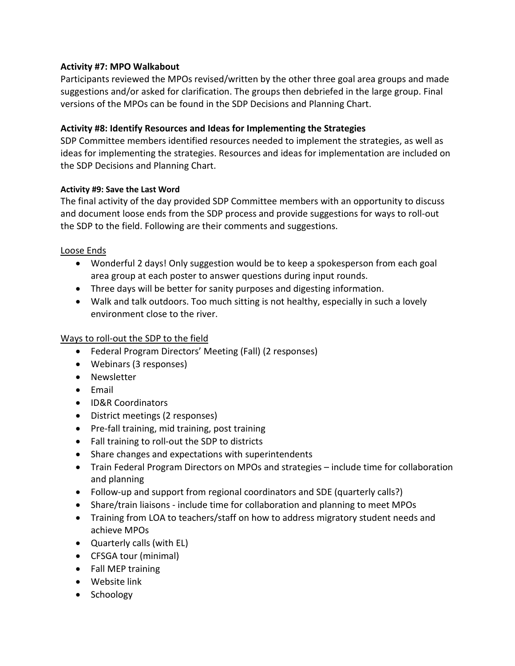#### **Activity #7: MPO Walkabout**

Participants reviewed the MPOs revised/written by the other three goal area groups and made suggestions and/or asked for clarification. The groups then debriefed in the large group. Final versions of the MPOs can be found in the SDP Decisions and Planning Chart.

#### **Activity #8: Identify Resources and Ideas for Implementing the Strategies**

SDP Committee members identified resources needed to implement the strategies, as well as ideas for implementing the strategies. Resources and ideas for implementation are included on the SDP Decisions and Planning Chart.

#### **Activity #9: Save the Last Word**

The final activity of the day provided SDP Committee members with an opportunity to discuss and document loose ends from the SDP process and provide suggestions for ways to roll-out the SDP to the field. Following are their comments and suggestions.

#### Loose Ends

- Wonderful 2 days! Only suggestion would be to keep a spokesperson from each goal area group at each poster to answer questions during input rounds.
- Three days will be better for sanity purposes and digesting information.
- Walk and talk outdoors. Too much sitting is not healthy, especially in such a lovely environment close to the river.

#### Ways to roll-out the SDP to the field

- Federal Program Directors' Meeting (Fall) (2 responses)
- Webinars (3 responses)
- Newsletter
- Email
- ID&R Coordinators
- District meetings (2 responses)
- Pre-fall training, mid training, post training
- Fall training to roll-out the SDP to districts
- Share changes and expectations with superintendents
- Train Federal Program Directors on MPOs and strategies include time for collaboration and planning
- Follow-up and support from regional coordinators and SDE (quarterly calls?)
- Share/train liaisons include time for collaboration and planning to meet MPOs
- Training from LOA to teachers/staff on how to address migratory student needs and achieve MPOs
- Quarterly calls (with EL)
- CFSGA tour (minimal)
- Fall MEP training
- Website link
- Schoology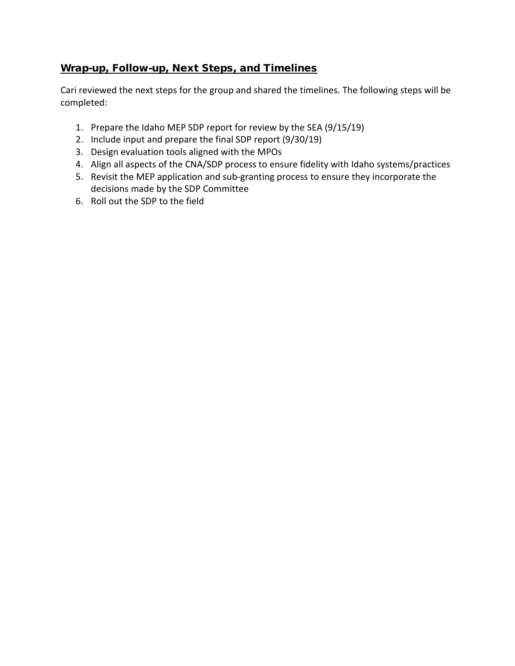### Wrap-up, Follow-up, Next Steps, and Timelines

Cari reviewed the next steps for the group and shared the timelines. The following steps will be completed:

- 1. Prepare the Idaho MEP SDP report for review by the SEA (9/15/19)
- 2. Include input and prepare the final SDP report (9/30/19)
- 3. Design evaluation tools aligned with the MPOs
- 4. Align all aspects of the CNA/SDP process to ensure fidelity with Idaho systems/practices
- 5. Revisit the MEP application and sub-granting process to ensure they incorporate the decisions made by the SDP Committee
- 6. Roll out the SDP to the field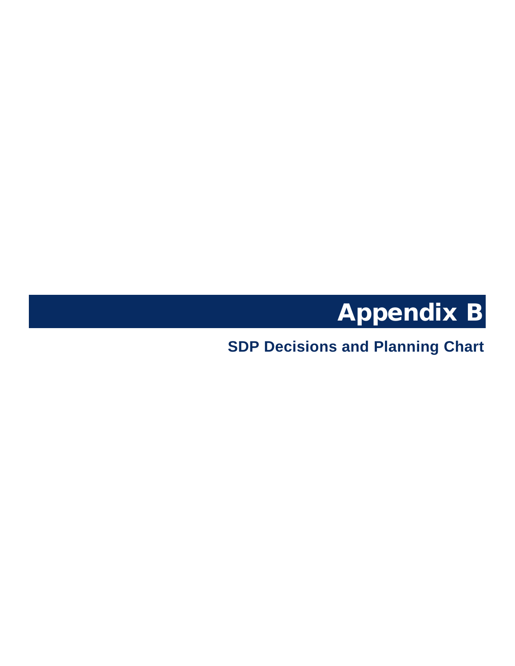

<span id="page-46-1"></span><span id="page-46-0"></span>**SDP Decisions and Planning Chart**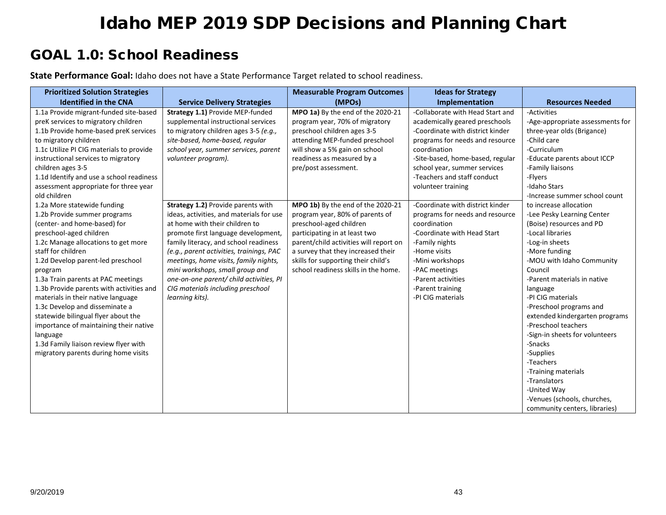# GOAL 1.0: School Readiness

**State Performance Goal:** Idaho does not have a State Performance Target related to school readiness.

| <b>Prioritized Solution Strategies</b>   |                                          | <b>Measurable Program Outcomes</b>     | <b>Ideas for Strategy</b>        |                                  |
|------------------------------------------|------------------------------------------|----------------------------------------|----------------------------------|----------------------------------|
| <b>Identified in the CNA</b>             | <b>Service Delivery Strategies</b>       | (MPOs)                                 | Implementation                   | <b>Resources Needed</b>          |
| 1.1a Provide migrant-funded site-based   | Strategy 1.1) Provide MEP-funded         | MPO 1a) By the end of the 2020-21      | -Collaborate with Head Start and | -Activities                      |
| preK services to migratory children      | supplemental instructional services      | program year, 70% of migratory         | academically geared preschools   | -Age-appropriate assessments for |
| 1.1b Provide home-based preK services    | to migratory children ages 3-5 (e.g.,    | preschool children ages 3-5            | -Coordinate with district kinder | three-year olds (Brigance)       |
| to migratory children                    | site-based, home-based, regular          | attending MEP-funded preschool         | programs for needs and resource  | -Child care                      |
| 1.1c Utilize PI CIG materials to provide | school year, summer services, parent     | will show a 5% gain on school          | coordination                     | -Curriculum                      |
| instructional services to migratory      | volunteer program).                      | readiness as measured by a             | -Site-based, home-based, regular | -Educate parents about ICCP      |
| children ages 3-5                        |                                          | pre/post assessment.                   | school year, summer services     | -Family liaisons                 |
| 1.1d Identify and use a school readiness |                                          |                                        | -Teachers and staff conduct      | -Flyers                          |
| assessment appropriate for three year    |                                          |                                        | volunteer training               | -Idaho Stars                     |
| old children                             |                                          |                                        |                                  | -Increase summer school count    |
| 1.2a More statewide funding              | Strategy 1.2) Provide parents with       | MPO 1b) By the end of the 2020-21      | -Coordinate with district kinder | to increase allocation           |
| 1.2b Provide summer programs             | ideas, activities, and materials for use | program year, 80% of parents of        | programs for needs and resource  | -Lee Pesky Learning Center       |
| (center- and home-based) for             | at home with their children to           | preschool-aged children                | coordination                     | (Boise) resources and PD         |
| preschool-aged children                  | promote first language development,      | participating in at least two          | -Coordinate with Head Start      | -Local libraries                 |
| 1.2c Manage allocations to get more      | family literacy, and school readiness    | parent/child activities will report on | -Family nights                   | -Log-in sheets                   |
| staff for children                       | (e.g., parent activities, trainings, PAC | a survey that they increased their     | -Home visits                     | -More funding                    |
| 1.2d Develop parent-led preschool        | meetings, home visits, family nights,    | skills for supporting their child's    | -Mini workshops                  | -MOU with Idaho Community        |
| program                                  | mini workshops, small group and          | school readiness skills in the home.   | -PAC meetings                    | Council                          |
| 1.3a Train parents at PAC meetings       | one-on-one parent/ child activities, PI  |                                        | -Parent activities               | -Parent materials in native      |
| 1.3b Provide parents with activities and | CIG materials including preschool        |                                        | -Parent training                 | language                         |
| materials in their native language       | learning kits).                          |                                        | -PI CIG materials                | -PI CIG materials                |
| 1.3c Develop and disseminate a           |                                          |                                        |                                  | -Preschool programs and          |
| statewide bilingual flyer about the      |                                          |                                        |                                  | extended kindergarten programs   |
| importance of maintaining their native   |                                          |                                        |                                  | -Preschool teachers              |
| language                                 |                                          |                                        |                                  | -Sign-in sheets for volunteers   |
| 1.3d Family liaison review flyer with    |                                          |                                        |                                  | -Snacks                          |
| migratory parents during home visits     |                                          |                                        |                                  | -Supplies                        |
|                                          |                                          |                                        |                                  | -Teachers                        |
|                                          |                                          |                                        |                                  | -Training materials              |
|                                          |                                          |                                        |                                  | -Translators                     |
|                                          |                                          |                                        |                                  | -United Way                      |
|                                          |                                          |                                        |                                  | -Venues (schools, churches,      |
|                                          |                                          |                                        |                                  | community centers, libraries)    |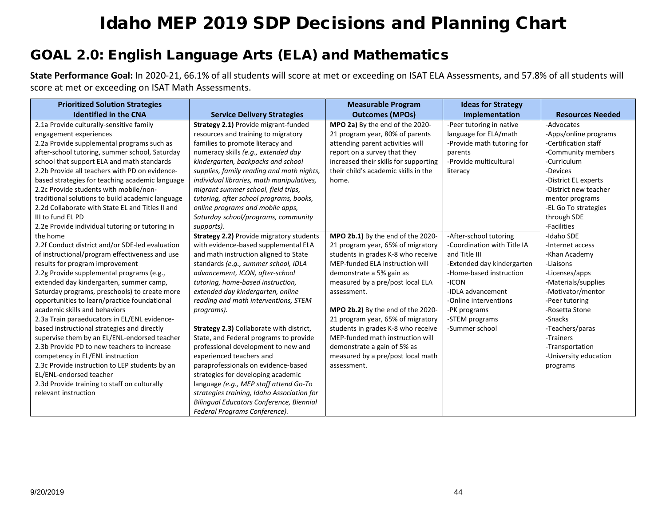# GOAL 2.0: English Language Arts (ELA) and Mathematics

**State Performance Goal:** In 2020-21, 66.1% of all students will score at met or exceeding on ISAT ELA Assessments, and 57.8% of all students will score at met or exceeding on ISAT Math Assessments.

| <b>Prioritized Solution Strategies</b>           |                                                 | <b>Measurable Program</b>             | <b>Ideas for Strategy</b>   |                         |
|--------------------------------------------------|-------------------------------------------------|---------------------------------------|-----------------------------|-------------------------|
| <b>Identified in the CNA</b>                     | <b>Service Delivery Strategies</b>              | <b>Outcomes (MPOs)</b>                | Implementation              | <b>Resources Needed</b> |
| 2.1a Provide culturally-sensitive family         | Strategy 2.1) Provide migrant-funded            | MPO 2a) By the end of the 2020-       | -Peer tutoring in native    | -Advocates              |
| engagement experiences                           | resources and training to migratory             | 21 program year, 80% of parents       | language for ELA/math       | -Apps/online programs   |
| 2.2a Provide supplemental programs such as       | families to promote literacy and                | attending parent activities will      | -Provide math tutoring for  | -Certification staff    |
| after-school tutoring, summer school, Saturday   | numeracy skills (e.g., extended day             | report on a survey that they          | parents                     | -Community members      |
| school that support ELA and math standards       | kindergarten, backpacks and school              | increased their skills for supporting | -Provide multicultural      | -Curriculum             |
| 2.2b Provide all teachers with PD on evidence-   | supplies, family reading and math nights,       | their child's academic skills in the  | literacy                    | -Devices                |
| based strategies for teaching academic language  | individual libraries, math manipulatives,       | home.                                 |                             | -District EL experts    |
| 2.2c Provide students with mobile/non-           | migrant summer school, field trips,             |                                       |                             | -District new teacher   |
| traditional solutions to build academic language | tutoring, after school programs, books,         |                                       |                             | mentor programs         |
| 2.2d Collaborate with State EL and Titles II and | online programs and mobile apps,                |                                       |                             | -EL Go To strategies    |
| III to fund EL PD                                | Saturday school/programs, community             |                                       |                             | through SDE             |
| 2.2e Provide individual tutoring or tutoring in  | supports).                                      |                                       |                             | -Facilities             |
| the home                                         | <b>Strategy 2.2)</b> Provide migratory students | MPO 2b.1) By the end of the 2020-     | -After-school tutoring      | -Idaho SDE              |
| 2.2f Conduct district and/or SDE-led evaluation  | with evidence-based supplemental ELA            | 21 program year, 65% of migratory     | -Coordination with Title IA | -Internet access        |
| of instructional/program effectiveness and use   | and math instruction aligned to State           | students in grades K-8 who receive    | and Title III               | -Khan Academy           |
| results for program improvement                  | standards (e.g., summer school, IDLA            | MEP-funded ELA instruction will       | -Extended day kindergarten  | -Liaisons               |
| 2.2g Provide supplemental programs (e.g.,        | advancement, ICON, after-school                 | demonstrate a 5% gain as              | -Home-based instruction     | -Licenses/apps          |
| extended day kindergarten, summer camp,          | tutoring, home-based instruction,               | measured by a pre/post local ELA      | -ICON                       | -Materials/supplies     |
| Saturday programs, preschools) to create more    | extended day kindergarten, online               | assessment.                           | -IDLA advancement           | -Motivator/mentor       |
| opportunities to learn/practice foundational     | reading and math interventions, STEM            |                                       | -Online interventions       | -Peer tutoring          |
| academic skills and behaviors                    | programs).                                      | MPO 2b.2) By the end of the 2020-     | -PK programs                | -Rosetta Stone          |
| 2.3a Train paraeducators in EL/ENL evidence-     |                                                 | 21 program year, 65% of migratory     | -STEM programs              | -Snacks                 |
| based instructional strategies and directly      | Strategy 2.3) Collaborate with district,        | students in grades K-8 who receive    | -Summer school              | -Teachers/paras         |
| supervise them by an EL/ENL-endorsed teacher     | State, and Federal programs to provide          | MEP-funded math instruction will      |                             | -Trainers               |
| 2.3b Provide PD to new teachers to increase      | professional development to new and             | demonstrate a gain of 5% as           |                             | -Transportation         |
| competency in EL/ENL instruction                 | experienced teachers and                        | measured by a pre/post local math     |                             | -University education   |
| 2.3c Provide instruction to LEP students by an   | paraprofessionals on evidence-based             | assessment.                           |                             | programs                |
| EL/ENL-endorsed teacher                          | strategies for developing academic              |                                       |                             |                         |
| 2.3d Provide training to staff on culturally     | language (e.g., MEP staff attend Go-To          |                                       |                             |                         |
| relevant instruction                             | strategies training, Idaho Association for      |                                       |                             |                         |
|                                                  | Bilingual Educators Conference, Biennial        |                                       |                             |                         |
|                                                  | Federal Programs Conference).                   |                                       |                             |                         |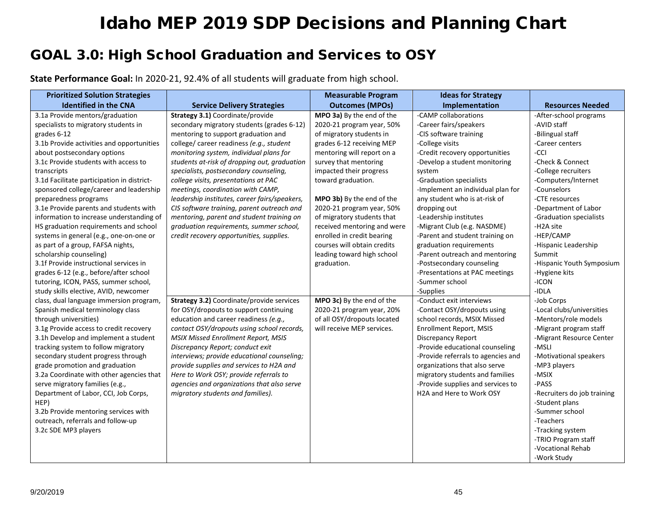# GOAL 3.0: High School Graduation and Services to OSY

**State Performance Goal:** In 2020-21, 92.4% of all students will graduate from high school.

| <b>Prioritized Solution Strategies</b>     |                                               | <b>Measurable Program</b>   | <b>Ideas for Strategy</b>          |                             |
|--------------------------------------------|-----------------------------------------------|-----------------------------|------------------------------------|-----------------------------|
| <b>Identified in the CNA</b>               | <b>Service Delivery Strategies</b>            | <b>Outcomes (MPOs)</b>      | Implementation                     | <b>Resources Needed</b>     |
| 3.1a Provide mentors/graduation            | Strategy 3.1) Coordinate/provide              | MPO 3a) By the end of the   | -CAMP collaborations               | -After-school programs      |
| specialists to migratory students in       | secondary migratory students (grades 6-12)    | 2020-21 program year, 50%   | -Career fairs/speakers             | -AVID staff                 |
| grades 6-12                                | mentoring to support graduation and           | of migratory students in    | -CIS software training             | -Bilingual staff            |
| 3.1b Provide activities and opportunities  | college/ career readiness (e.g., student      | grades 6-12 receiving MEP   | -College visits                    | -Career centers             |
| about postsecondary options                | monitoring system, individual plans for       | mentoring will report on a  | -Credit recovery opportunities     | -CCI                        |
| 3.1c Provide students with access to       | students at-risk of dropping out, graduation  | survey that mentoring       | -Develop a student monitoring      | -Check & Connect            |
| transcripts                                | specialists, postsecondary counseling,        | impacted their progress     | system                             | -College recruiters         |
| 3.1d Facilitate participation in district- | college visits, presentations at PAC          | toward graduation.          | -Graduation specialists            | -Computers/Internet         |
| sponsored college/career and leadership    | meetings, coordination with CAMP,             |                             | -Implement an individual plan for  | -Counselors                 |
| preparedness programs                      | leadership institutes, career fairs/speakers, | MPO 3b) By the end of the   | any student who is at-risk of      | -CTE resources              |
| 3.1e Provide parents and students with     | CIS software training, parent outreach and    | 2020-21 program year, 50%   | dropping out                       | -Department of Labor        |
| information to increase understanding of   | mentoring, parent and student training on     | of migratory students that  | -Leadership institutes             | -Graduation specialists     |
| HS graduation requirements and school      | graduation requirements, summer school,       | received mentoring and were | -Migrant Club (e.g. NASDME)        | -H2A site                   |
| systems in general (e.g., one-on-one or    | credit recovery opportunities, supplies.      | enrolled in credit bearing  | -Parent and student training on    | -HEP/CAMP                   |
| as part of a group, FAFSA nights,          |                                               | courses will obtain credits | graduation requirements            | -Hispanic Leadership        |
| scholarship counseling)                    |                                               | leading toward high school  | -Parent outreach and mentoring     | Summit                      |
| 3.1f Provide instructional services in     |                                               | graduation.                 | -Postsecondary counseling          | -Hispanic Youth Symposium   |
| grades 6-12 (e.g., before/after school     |                                               |                             | -Presentations at PAC meetings     | -Hygiene kits               |
| tutoring, ICON, PASS, summer school,       |                                               |                             | -Summer school                     | -ICON                       |
| study skills elective, AVID, newcomer      |                                               |                             | -Supplies                          | $-IDLA$                     |
| class, dual language immersion program,    | Strategy 3.2) Coordinate/provide services     | MPO 3c) By the end of the   | -Conduct exit interviews           | -Job Corps                  |
| Spanish medical terminology class          | for OSY/dropouts to support continuing        | 2020-21 program year, 20%   | -Contact OSY/dropouts using        | -Local clubs/universities   |
| through universities)                      | education and career readiness (e.g.,         | of all OSY/dropouts located | school records, MSIX Missed        | -Mentors/role models        |
| 3.1g Provide access to credit recovery     | contact OSY/dropouts using school records,    | will receive MEP services.  | Enrollment Report, MSIS            | -Migrant program staff      |
| 3.1h Develop and implement a student       | MSIX Missed Enrollment Report, MSIS           |                             | <b>Discrepancy Report</b>          | -Migrant Resource Center    |
| tracking system to follow migratory        | Discrepancy Report; conduct exit              |                             | -Provide educational counseling    | -MSLI                       |
| secondary student progress through         | interviews; provide educational counseling;   |                             | -Provide referrals to agencies and | -Motivational speakers      |
| grade promotion and graduation             | provide supplies and services to H2A and      |                             | organizations that also serve      | -MP3 players                |
| 3.2a Coordinate with other agencies that   | Here to Work OSY; provide referrals to        |                             | migratory students and families    | -MSIX                       |
| serve migratory families (e.g.,            | agencies and organizations that also serve    |                             | -Provide supplies and services to  | -PASS                       |
| Department of Labor, CCI, Job Corps,       | migratory students and families).             |                             | H2A and Here to Work OSY           | -Recruiters do job training |
| HEP)                                       |                                               |                             |                                    | -Student plans              |
| 3.2b Provide mentoring services with       |                                               |                             |                                    | -Summer school              |
| outreach, referrals and follow-up          |                                               |                             |                                    | -Teachers                   |
| 3.2c SDE MP3 players                       |                                               |                             |                                    | -Tracking system            |
|                                            |                                               |                             |                                    | -TRIO Program staff         |
|                                            |                                               |                             |                                    | -Vocational Rehab           |
|                                            |                                               |                             |                                    | -Work Study                 |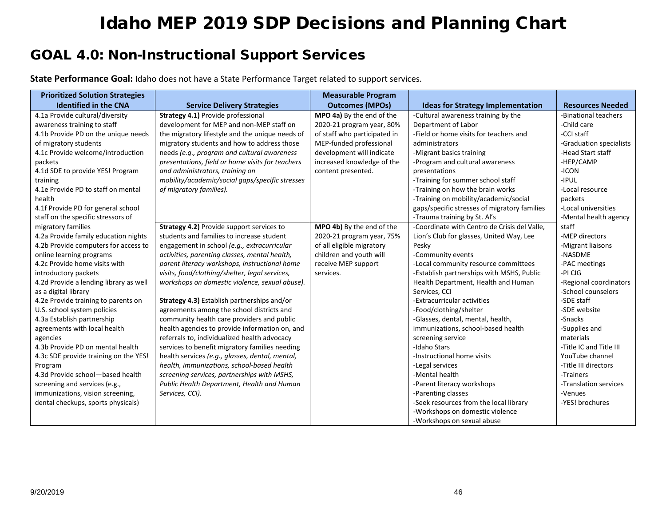# GOAL 4.0: Non-Instructional Support Services

**State Performance Goal:** Idaho does not have a State Performance Target related to support services.

| <b>Prioritized Solution Strategies</b> |                                                  | <b>Measurable Program</b>    |                                              |                         |
|----------------------------------------|--------------------------------------------------|------------------------------|----------------------------------------------|-------------------------|
| <b>Identified in the CNA</b>           | <b>Service Delivery Strategies</b>               | <b>Outcomes (MPOs)</b>       | <b>Ideas for Strategy Implementation</b>     | <b>Resources Needed</b> |
| 4.1a Provide cultural/diversity        | Strategy 4.1) Provide professional               | MPO 4a) By the end of the    | -Cultural awareness training by the          | -Binational teachers    |
| awareness training to staff            | development for MEP and non-MEP staff on         | 2020-21 program year, 80%    | Department of Labor                          | -Child care             |
| 4.1b Provide PD on the unique needs    | the migratory lifestyle and the unique needs of  | of staff who participated in | -Field or home visits for teachers and       | -CCI staff              |
| of migratory students                  | migratory students and how to address those      | MEP-funded professional      | administrators                               | -Graduation specialists |
| 4.1c Provide welcome/introduction      | needs (e.g., program and cultural awareness      | development will indicate    | -Migrant basics training                     | -Head Start staff       |
| packets                                | presentations, field or home visits for teachers | increased knowledge of the   | -Program and cultural awareness              | -HEP/CAMP               |
| 4.1d SDE to provide YES! Program       | and administrators, training on                  | content presented.           | presentations                                | -ICON                   |
| training                               | mobility/academic/social gaps/specific stresses  |                              | -Training for summer school staff            | -IPUL                   |
| 4.1e Provide PD to staff on mental     | of migratory families).                          |                              | -Training on how the brain works             | -Local resource         |
| health                                 |                                                  |                              | -Training on mobility/academic/social        | packets                 |
| 4.1f Provide PD for general school     |                                                  |                              | gaps/specific stresses of migratory families | -Local universities     |
| staff on the specific stressors of     |                                                  |                              | -Trauma training by St. Al's                 | -Mental health agency   |
| migratory families                     | Strategy 4.2) Provide support services to        | MPO 4b) By the end of the    | -Coordinate with Centro de Crisis del Valle, | staff                   |
| 4.2a Provide family education nights   | students and families to increase student        | 2020-21 program year, 75%    | Lion's Club for glasses, United Way, Lee     | -MEP directors          |
| 4.2b Provide computers for access to   | engagement in school (e.g., extracurricular      | of all eligible migratory    | Pesky                                        | -Migrant liaisons       |
| online learning programs               | activities, parenting classes, mental health,    | children and youth will      | -Community events                            | -NASDME                 |
| 4.2c Provide home visits with          | parent literacy workshops, instructional home    | receive MEP support          | -Local community resource committees         | -PAC meetings           |
| introductory packets                   | visits, food/clothing/shelter, legal services,   | services.                    | -Establish partnerships with MSHS, Public    | -PI CIG                 |
| 4.2d Provide a lending library as well | workshops on domestic violence, sexual abuse).   |                              | Health Department, Health and Human          | -Regional coordinators  |
| as a digital library                   |                                                  |                              | Services, CCI                                | -School counselors      |
| 4.2e Provide training to parents on    | Strategy 4.3) Establish partnerships and/or      |                              | -Extracurricular activities                  | -SDE staff              |
| U.S. school system policies            | agreements among the school districts and        |                              | -Food/clothing/shelter                       | -SDE website            |
| 4.3a Establish partnership             | community health care providers and public       |                              | -Glasses, dental, mental, health,            | -Snacks                 |
| agreements with local health           | health agencies to provide information on, and   |                              | immunizations, school-based health           | -Supplies and           |
| agencies                               | referrals to, individualized health advocacy     |                              | screening service                            | materials               |
| 4.3b Provide PD on mental health       | services to benefit migratory families needing   |                              | -Idaho Stars                                 | -Title IC and Title III |
| 4.3c SDE provide training on the YES!  | health services (e.g., glasses, dental, mental,  |                              | -Instructional home visits                   | YouTube channel         |
| Program                                | health, immunizations, school-based health       |                              | -Legal services                              | -Title III directors    |
| 4.3d Provide school-based health       | screening services, partnerships with MSHS,      |                              | -Mental health                               | -Trainers               |
| screening and services (e.g.,          | Public Health Department, Health and Human       |                              | -Parent literacy workshops                   | -Translation services   |
| immunizations, vision screening,       | Services, CCI).                                  |                              | -Parenting classes                           | -Venues                 |
| dental checkups, sports physicals)     |                                                  |                              | -Seek resources from the local library       | -YES! brochures         |
|                                        |                                                  |                              | -Workshops on domestic violence              |                         |
|                                        |                                                  |                              | -Workshops on sexual abuse                   |                         |